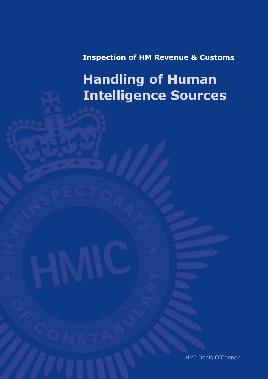**Inspection of HM Revenue & Customs**

# **Handling of Human Intelligence Sources**

HMI Denis O'Connor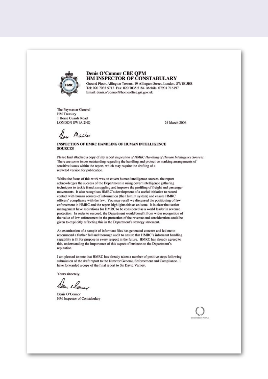

#### Denis O'Connor CBE QPM HM INSPECTOR OF CONSTABULARY

Ground Floor, Allington Towers, 19 Allington Street, London, SW1E 5EB Tel: 020 7035 5713 Fax: 020 7035 5184 Mobile: 07901 716197 Email: denis.o'connor@homeoffice.gsi.gov.uk

The Paymaster General **HM Treasury** 1 Horse Guards Road **LONDON SW1A 2HO** 

24 March 2006

Non Minister

#### INSPECTION OF HMRC HANDLING OF HUMAN INTELLIGENCE **SOURCES**

Please find attached a copy of my report Inspection of HMRC Handling of Human Intelligence Sources. There are some issues outstanding regarding the handling and protective marking arrangements of sensitive issues within the report, which may require the drafting of a redacted version for publication.

Whilst the focus of this work was on covert human intelligence sources, the report acknowledges the success of the Department in using covert intelligence gathering techniques to tackle fraud, smuggling and improve the profiling of freight and passenger movements. It also recognises HMRC's development of a useful initiative to record contact with human sources of information (the Humlnt system) and ensure HMRC officers' compliance with the law. You may recall we discussed the positioning of law enforcement in HMRC and the report highlights this as an issue. It is clear that senior management have aspirations for HMRC to be considered as a world leader in revenue protection. In order to succeed, the Department would benefit from wider recognition of the value of law enforcement in the protection of the revenue and consideration could be given to explicitly reflecting this in the Department's strategy statement.

An examination of a sample of informant files has generated concern and led me to recommend a further full and thorough audit to ensure that HMRC's informant handling capability is fit for purpose in every respect in the future. HMRC has already agreed to this, understanding the importance of this aspect of business to the Department's reputation.

I am pleased to note that HMRC has already taken a number of positive steps following submission of the draft report to the Director General, Enforcement and Compliance. I have forwarded a copy of the final report to Sir David Varney.

Yours sincerely.

Denis O'Connor HM Inspector of Constabulary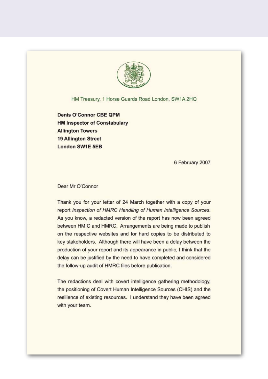

HM Treasury, 1 Horse Guards Road London, SW1A 2HQ

**Denis O'Connor CBE QPM HM Inspector of Constabulary Allington Towers 19 Allington Street London SW1E 5EB** 

6 February 2007

Dear Mr O'Connor

Thank you for your letter of 24 March together with a copy of your report Inspection of HMRC Handling of Human Intelligence Sources. As you know, a redacted version of the report has now been agreed between HMIC and HMRC. Arrangements are being made to publish on the respective websites and for hard copies to be distributed to key stakeholders. Although there will have been a delay between the production of your report and its appearance in public, I think that the delay can be justified by the need to have completed and considered the follow-up audit of HMRC files before publication.

The redactions deal with covert intelligence gathering methodology, the positioning of Covert Human Intelligence Sources (CHIS) and the resilience of existing resources. I understand they have been agreed with your team.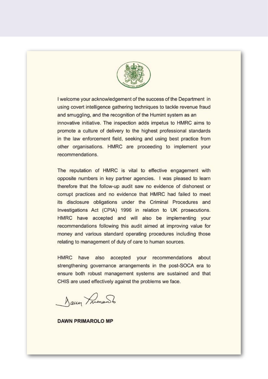

I welcome your acknowledgement of the success of the Department in using covert intelligence gathering techniques to tackle revenue fraud and smuggling, and the recognition of the Humint system as an innovative initiative. The inspection adds impetus to HMRC aims to promote a culture of delivery to the highest professional standards in the law enforcement field, seeking and using best practice from other organisations. HMRC are proceeding to implement your recommendations.

The reputation of HMRC is vital to effective engagement with opposite numbers in key partner agencies. I was pleased to learn therefore that the follow-up audit saw no evidence of dishonest or corrupt practices and no evidence that HMRC had failed to meet its disclosure obligations under the Criminal Procedures and Investigations Act (CPIA) 1996 in relation to UK prosecutions. HMRC have accepted and will also be implementing your recommendations following this audit aimed at improving value for money and various standard operating procedures including those relating to management of duty of care to human sources.

HMRC have also accepted your recommendations about strengthening governance arrangements in the post-SOCA era to ensure both robust management systems are sustained and that CHIS are used effectively against the problems we face.

Jaun Frimando

**DAWN PRIMAROLO MP**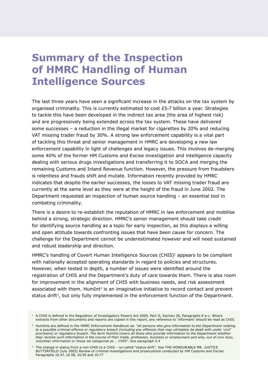## **Summary of the Inspection of HMRC Handling of Human Intelligence Sources**

The last three years have seen a significant increase in the attacks on the tax system by organised criminality. This is currently estimated to cost £5-7 billion a year. Strategies to tackle this have been developed in the indirect tax area (the area of highest risk) and are progressively being extended across the tax system. These have delivered some successes – a reduction in the illegal market for cigarettes by 20% and reducing VAT missing trader fraud by 30%. A strong law enforcement capability is a vital part of tackling this threat and senior management in HMRC are developing a new law enforcement capability in light of challenges and legacy issues. This involves de-merging some 40% of the former HM Customs and Excise investigation and intelligence capacity dealing with serious drugs investigations and transferring it to SOCA and merging the remaining Customs and Inland Revenue function. However, the pressure from fraudsters is relentless and frauds shift and mutate. Information recently provided by HMRC indicates that despite the earlier successes, the losses to VAT missing trader fraud are currently at the same level as they were at the height of the fraud in June 2002. The Department requested an inspection of human source handling – an essential tool in combating criminality.

There is a desire to re-establish the reputation of HMRC in law enforcement and mobilise behind a strong, strategic direction. HMRC's senior management should take credit for identifying source handling as a topic for early inspection, as this displays a willing and open attitude towards confronting issues that have been cause for concern. The challenge for the Department cannot be underestimated however and will need sustained and robust leadership and direction.

HMRC's handling of Covert Human Intelligence Sources (CHIS)<sup>1</sup> appears to be compliant with nationally accepted operating standards in regard to policies and structures. However, when tested in depth, a number of issues were identified around the registration of CHIS and the Department's duty of care towards them. There is also room for improvement in the alignment of CHIS with business needs, and risk assessment associated with them. HumInt<sup>2</sup> is an imaginative initiative to record contact and prevent status drift<sup>3</sup>, but only fully implemented in the enforcement function of the Department.

<sup>&</sup>lt;sup>1</sup> A CHIS is defined in the Regulation of Investigatory Powers Act 2000, Part II, Section 26, Paragraphs 8 a-c. Where extracts from other documents and reports are copied in this report, any reference to 'informant' should be read as CHIS.

<sup>2</sup> HumInts are defined in the HMRC Enforcement Handbook as: *"all persons who give information to the Department relating to a possible criminal offence or regulatory breach (including any offences that may ultimately be dealt with under 'civil' provisions) or regulatory breach. The term HumInt covers all those who provide information to the Department whether they receive such information in the course of their trade, profession, business or employment and who, out of civic duty, volunteer information or those we categorise as …* CHIS". See paragraph 5.4

<sup>&</sup>lt;sup>3</sup> The change in status from a non-CHIS to a CHIS - so-called "status drift". See THE HONOURABLE MR. JUSTICE BUTTERFIELD (July 2003) *Review of criminal investigations and prosecutions conducted by HM Customs and Excise:* Paragraphs 10.47, 10.58, 10.59 and 10.77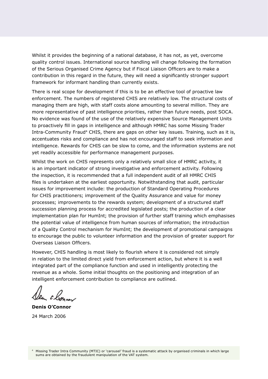Whilst it provides the beginning of a national database, it has not, as yet, overcome quality control issues. International source handling will change following the formation of the Serious Organised Crime Agency but if Fiscal Liaison Officers are to make a contribution in this regard in the future, they will need a significantly stronger support framework for informant handling than currently exists.

There is real scope for development if this is to be an effective tool of proactive law enforcement. The numbers of registered CHIS are relatively low. The structural costs of managing them are high, with staff costs alone amounting to several million. They are more representative of past intelligence priorities, rather than future needs, post SOCA. No evidence was found of the use of the relatively expensive Source Management Units to proactively fill in gaps in intelligence and although HMRC has some Missing Trader Intra-Community Fraud<sup>4</sup> CHIS, there are gaps on other key issues. Training, such as it is, accentuates risks and compliance and has not encouraged staff to seek information and intelligence. Rewards for CHIS can be slow to come, and the information systems are not yet readily accessible for performance management purposes.

Whilst the work on CHIS represents only a relatively small slice of HMRC activity, it is an important indicator of strong investigative and enforcement activity. Following the inspection, it is recommended that a full independent audit of all HMRC CHIS files is undertaken at the earliest opportunity. Notwithstanding that audit, particular issues for improvement include: the production of Standard Operating Procedures for CHIS practitioners; improvement of the Quality Assurance and value for money processes; improvements to the rewards system; development of a structured staff succession planning process for accredited legislated posts; the production of a clear implementation plan for HumInt; the provision of further staff training which emphasises the potential value of intelligence from human sources of information; the introduction of a Quality Control mechanism for HumInt; the development of promotional campaigns to encourage the public to volunteer information and the provision of greater support for Overseas Liaison Officers.

However, CHIS handling is most likely to flourish where it is considered not simply in relation to the limited direct yield from enforcement action, but where it is a well integrated part of the compliance function and used in intelligently protecting the revenue as a whole. Some initial thoughts on the positioning and integration of an intelligent enforcement contribution to compliance are outlined.

**Denis O'Connor** 24 March 2006

<sup>4</sup> Missing Trader Intra Community (MTIC) or 'carousel' fraud is a systematic attack by organised criminals in which large sums are obtained by the fraudulent manipulation of the VAT system.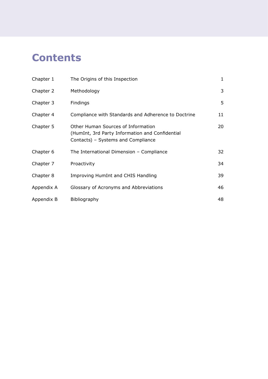## **Contents**

| Chapter 1  | The Origins of this Inspection                                                                                              | $\mathbf{1}$ |
|------------|-----------------------------------------------------------------------------------------------------------------------------|--------------|
| Chapter 2  | Methodology                                                                                                                 | 3            |
| Chapter 3  | Findings                                                                                                                    | 5            |
| Chapter 4  | Compliance with Standards and Adherence to Doctrine                                                                         | 11           |
| Chapter 5  | Other Human Sources of Information<br>(HumInt, 3rd Party Information and Confidential<br>Contacts) - Systems and Compliance | 20           |
| Chapter 6  | The International Dimension - Compliance                                                                                    | 32           |
| Chapter 7  | Proactivity                                                                                                                 | 34           |
| Chapter 8  | Improving HumInt and CHIS Handling                                                                                          | 39           |
| Appendix A | Glossary of Acronyms and Abbreviations                                                                                      | 46           |
| Appendix B | Bibliography                                                                                                                | 48           |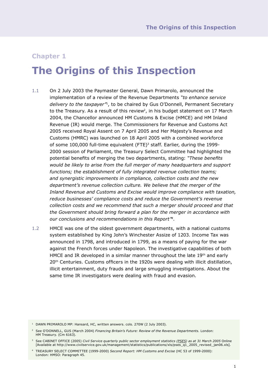## **The Origins of this Inspection**

- 1.1 On 2 July 2003 the Paymaster General, Dawn Primarolo, announced the implementation of a review of the Revenue Departments *"to enhance service delivery to the taxpayer"*1, to be chaired by Gus O'Donnell, Permanent Secretary to the Treasury. As a result of this review<sup>2</sup>, in his budget statement on 17 March 2004, the Chancellor announced HM Customs & Excise (HMCE) and HM Inland Revenue (IR) would merge. The Commissioners for Revenue and Customs Act 2005 received Royal Assent on 7 April 2005 and Her Majesty's Revenue and Customs (HMRC) was launched on 18 April 2005 with a combined workforce of some 100,000 full-time equivalent (FTE)<sup>3</sup> staff. Earlier, during the 1999-2000 session of Parliament, the Treasury Select Committee had highlighted the potential benefits of merging the two departments, stating: *"These benefits would be likely to arise from the full merger of many headquarters and support functions; the establishment of fully integrated revenue collection teams; and synergistic improvements in compliance, collection costs and the new department's revenue collection culture. We believe that the merger of the Inland Revenue and Customs and Excise would improve compliance with taxation, reduce businesses' compliance costs and reduce the Government's revenue collection costs and we recommend that such a merger should proceed and that the Government should bring forward a plan for the merger in accordance with our conclusions and recommendations in this Report"4*.
- 1.2 HMCE was one of the oldest government departments, with a national customs system established by King John's Winchester Assize of 1203. Income Tax was announced in 1798, and introduced in 1799, as a means of paying for the war against the French forces under Napoleon. The investigative capabilities of both HMCE and IR developed in a similar manner throughout the late 19th and early 20<sup>th</sup> Centuries. Customs officers in the 1920s were dealing with illicit distillation, illicit entertainment, duty frauds and large smuggling investigations. About the same time IR investigators were dealing with fraud and evasion.

<sup>&</sup>lt;sup>1</sup> DAWN PRIMAROLO MP: Hansard, HC, written answers. cols. 270W (2 July 2003).

<sup>2</sup> See O'DONNELL, GUS (March 2004) *Financing Britain's Future: Review of the Revenue Departments.* London: HM Treasury. (Cm 6163).

<sup>&</sup>lt;sup>3</sup> See CABINET OFFICE (2005) *Civil Service quarterly public sector employment statistics (PSES) as at 31 March 2005* Online [Available at http://www.civilservice.gov.uk/management/statistics/publications/xls/pses\_q1\_2005\_revised\_ jan06.xls].

<sup>4</sup> TREASURY SELECT COMMITTEE (1999-2000) *Second Report: HM Customs and Excise* (HC 53 of 1999-2000): London: HMSO: Paragraph 45.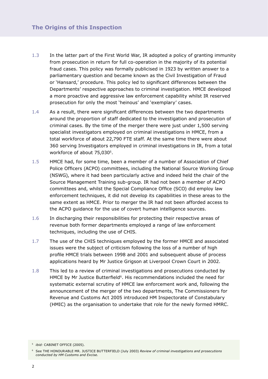- 1.3 In the latter part of the First World War, IR adopted a policy of granting immunity from prosecution in return for full co-operation in the majority of its potential fraud cases. This policy was formally publicised in 1923 by written answer to a parliamentary question and became known as the Civil Investigation of Fraud or 'Hansard,' procedure. This policy led to significant differences between the Departments' respective approaches to criminal investigation. HMCE developed a more proactive and aggressive law enforcement capability whilst IR reserved prosecution for only the most 'heinous' and 'exemplary' cases.
- 1.4 As a result, there were significant differences between the two departments around the proportion of staff dedicated to the investigation and prosecution of criminal cases. By the time of the merger there were just under 1,500 serving specialist investigators employed on criminal investigations in HMCE, from a total workforce of about 22,790 FTE staff. At the same time there were about 360 serving Investigators employed in criminal investigations in IR, from a total workforce of about 75,030<sup>5</sup>.
- 1.5 HMCE had, for some time, been a member of a number of Association of Chief Police Officers (ACPO) committees, including the National Source Working Group (NSWG), where it had been particularly active and indeed held the chair of the Source Management Training sub-group. IR had not been a member of ACPO committees and, whilst the Special Compliance Office (SCO) did employ law enforcement techniques, it did not develop its capabilities in these areas to the same extent as HMCE. Prior to merger the IR had not been afforded access to the ACPO guidance for the use of covert human intelligence sources.
- 1.6 In discharging their responsibilities for protecting their respective areas of revenue both former departments employed a range of law enforcement techniques, including the use of CHIS.
- 1.7 The use of the CHIS techniques employed by the former HMCE and associated issues were the subject of criticism following the loss of a number of high profile HMCE trials between 1998 and 2001 and subsequent abuse of process applications heard by Mr Justice Grigson at Liverpool Crown Court in 2002.
- 1.8 This led to a review of criminal investigations and prosecutions conducted by HMCE by Mr Justice Butterfield<sup>6</sup>. His recommendations included the need for systematic external scrutiny of HMCE law enforcement work and, following the announcement of the merger of the two departments, The Commissioners for Revenue and Customs Act 2005 introduced HM Inspectorate of Constabulary (HMIC) as the organisation to undertake that role for the newly formed HMRC.

<sup>5</sup> *ibid:* CABINET OFFICE (2005).

<sup>6</sup> See THE HONOURABLE MR. JUSTICE BUTTERFIELD (July 2003) *Review of criminal investigations and prosecutions conducted by HM Customs and Excise.*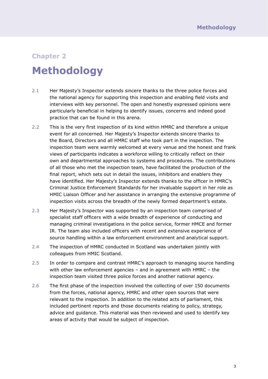## **Methodology**

- 2.1 Her Majesty's Inspector extends sincere thanks to the three police forces and the national agency for supporting this inspection and enabling field visits and interviews with key personnel. The open and honestly expressed opinions were particularly beneficial in helping to identify issues, concerns and indeed good practice that can be found in this arena.
- 2.2 This is the very first inspection of its kind within HMRC and therefore a unique event for all concerned. Her Majesty's Inspector extends sincere thanks to the Board, Directors and all HMRC staff who took part in the inspection. The inspection team were warmly welcomed at every venue and the honest and frank views of participants indicates a workforce willing to critically reflect on their own and departmental approaches to systems and procedures. The contributions of all those who met the inspection team, have facilitated the production of the final report, which sets out in detail the issues, inhibitors and enablers they have identified. Her Majesty's Inspector extends thanks to the officer in HMRC's Criminal Justice Enforcement Standards for her invaluable support in her role as HMIC Liaison Officer and her assistance in arranging the extensive programme of inspection visits across the breadth of the newly formed department's estate.
- 2.3 Her Majesty's Inspector was supported by an inspection team comprised of specialist staff officers with a wide breadth of experience of conducting and managing criminal investigations in the police service, former HMCE and former IR. The team also included officers with recent and extensive experience of source handling within a law enforcement environment and analytical support.
- 2.4 The inspection of HMRC conducted in Scotland was undertaken jointly with colleagues from HMIC Scotland.
- 2.5 In order to compare and contrast HMRC's approach to managing source handling with other law enforcement agencies – and in agreement with HMRC – the inspection team visited three police forces and another national agency.
- 2.6 The first phase of the inspection involved the collecting of over 150 documents from the forces, national agency, HMRC and other open sources that were relevant to the inspection. In addition to the related acts of parliament, this included pertinent reports and those documents relating to policy, strategy, advice and guidance. This material was then reviewed and used to identify key areas of activity that would be subject of inspection.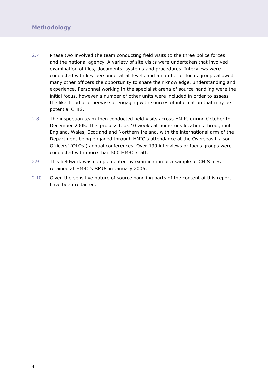- 2.7 Phase two involved the team conducting field visits to the three police forces and the national agency. A variety of site visits were undertaken that involved examination of files, documents, systems and procedures. Interviews were conducted with key personnel at all levels and a number of focus groups allowed many other officers the opportunity to share their knowledge, understanding and experience. Personnel working in the specialist arena of source handling were the initial focus, however a number of other units were included in order to assess the likelihood or otherwise of engaging with sources of information that may be potential CHIS.
- 2.8 The inspection team then conducted field visits across HMRC during October to December 2005. This process took 10 weeks at numerous locations throughout England, Wales, Scotland and Northern Ireland, with the international arm of the Department being engaged through HMIC's attendance at the Overseas Liaison Officers' (OLOs') annual conferences. Over 130 interviews or focus groups were conducted with more than 500 HMRC staff.
- 2.9 This fieldwork was complemented by examination of a sample of CHIS files retained at HMRC's SMUs in January 2006.
- 2.10 Given the sensitive nature of source handling parts of the content of this report have been redacted.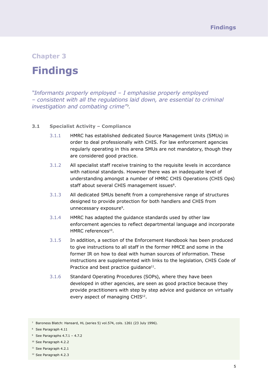### **Findings**

*"Informants properly employed – I emphasise properly employed – consistent with all the regulations laid down, are essential to criminal investigation and combating crime"*7*.*

#### **3.1 Specialist Activity – Compliance**

- 3.1.1 HMRC has established dedicated Source Management Units (SMUs) in order to deal professionally with CHIS. For law enforcement agencies regularly operating in this arena SMUs are not mandatory, though they are considered good practice.
- 3.1.2 All specialist staff receive training to the requisite levels in accordance with national standards. However there was an inadequate level of understanding amongst a number of HMRC CHIS Operations (CHIS Ops) staff about several CHIS management issues<sup>8</sup>.
- 3.1.3 All dedicated SMUs benefit from a comprehensive range of structures designed to provide protection for both handlers and CHIS from unnecessary exposure<sup>9</sup>.
- 3.1.4 HMRC has adapted the guidance standards used by other law enforcement agencies to reflect departmental language and incorporate HMRC references10.
- 3.1.5 In addition, a section of the Enforcement Handbook has been produced to give instructions to all staff in the former HMCE and some in the former IR on how to deal with human sources of information. These instructions are supplemented with links to the legislation, CHIS Code of Practice and best practice guidance<sup>11</sup>.
- 3.1.6 Standard Operating Procedures (SOPs), where they have been developed in other agencies, are seen as good practice because they provide practitioners with step by step advice and guidance on virtually every aspect of managing CHIS<sup>12</sup>.

<sup>7</sup> Baroness Blatch: Hansard, HL (series 5) vol.574, cols. 1261 (23 July 1996).

<sup>8</sup> See Paragraph 4.11

<sup>&</sup>lt;sup>9</sup> See Paragraphs  $4.7.1 - 4.7.2$ 

<sup>10</sup> See Paragraph 4.2.2

<sup>&</sup>lt;sup>11</sup> See Paragraph 4.2.1

<sup>12</sup> See Paragraph 4.2.3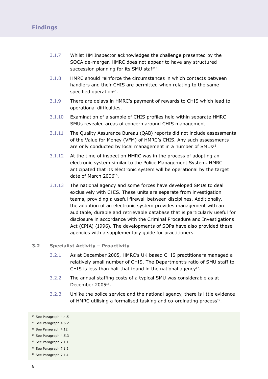- 3.1.7 Whilst HM Inspector acknowledges the challenge presented by the SOCA de-merger, HMRC does not appear to have any structured succession planning for its SMU staff<sup>13</sup>.
- 3.1.8 HMRC should reinforce the circumstances in which contacts between handlers and their CHIS are permitted when relating to the same specified operation<sup>14</sup>.
- 3.1.9 There are delays in HMRC's payment of rewards to CHIS which lead to operational difficulties.
- 3.1.10 Examination of a sample of CHIS profiles held within separate HMRC SMUs revealed areas of concern around CHIS management.
- 3.1.11 The Quality Assurance Bureau (QAB) reports did not include assessments of the Value for Money (VFM) of HMRC's CHIS. Any such assessments are only conducted by local management in a number of SMUs<sup>15</sup>.
- 3.1.12 At the time of inspection HMRC was in the process of adopting an electronic system similar to the Police Management System. HMRC anticipated that its electronic system will be operational by the target date of March 200616.
- 3.1.13 The national agency and some forces have developed SMUs to deal exclusively with CHIS. These units are separate from investigation teams, providing a useful firewall between disciplines. Additionally, the adoption of an electronic system provides management with an auditable, durable and retrievable database that is particularly useful for disclosure in accordance with the Criminal Procedure and Investigations Act (CPIA) (1996). The developments of SOPs have also provided these agencies with a supplementary guide for practitioners.

#### **3.2 Specialist Activity – Proactivity**

- 3.2.1 As at December 2005, HMRC's UK based CHIS practitioners managed a relatively small number of CHIS. The Department's ratio of SMU staff to CHIS is less than half that found in the national agency<sup>17</sup>.
- 3.2.2 The annual staffing costs of a typical SMU was considerable as at December 200518.
- 3.2.3 Unlike the police service and the national agency, there is little evidence of HMRC utilising a formalised tasking and co-ordinating process<sup>19</sup>.

<sup>19</sup> See Paragraph 7.1.4

<sup>&</sup>lt;sup>13</sup> See Paragraph 4.4.5

<sup>&</sup>lt;sup>14</sup> See Paragraph 4.6.2

<sup>15</sup> See Paragraph 4.12

<sup>16</sup> See Paragraph 4.5.3

<sup>17</sup> See Paragraph 7.1.1

<sup>18</sup> See Paragraph 7.1.2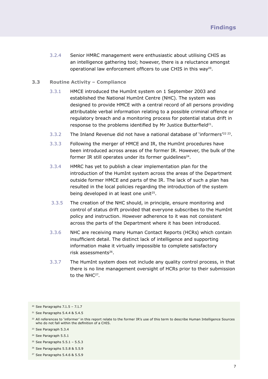3.2.4 Senior HMRC management were enthusiastic about utilising CHIS as an intelligence gathering tool; however, there is a reluctance amongst operational law enforcement officers to use CHIS in this way<sup>20</sup>.

#### **3.3 Routine Activity – Compliance**

- 3.3.1 HMCE introduced the HumInt system on 1 September 2003 and established the National HumInt Centre (NHC). The system was designed to provide HMCE with a central record of all persons providing attributable verbal information relating to a possible criminal offence or regulatory breach and a monitoring process for potential status drift in response to the problems identified by Mr Justice Butterfield<sup>21</sup>.
- $3.3.2$  The Inland Revenue did not have a national database of 'informers'<sup>22 23</sup>.
- 3.3.3 Following the merger of HMCE and IR, the HumInt procedures have been introduced across areas of the former IR. However, the bulk of the former IR still operates under its former guidelines<sup>24</sup>.
- 3.3.4 HMRC has yet to publish a clear implementation plan for the introduction of the HumInt system across the areas of the Department outside former HMCE and parts of the IR. The lack of such a plan has resulted in the local policies regarding the introduction of the system being developed in at least one unit<sup>25</sup>.
- 3.3.5 The creation of the NHC should, in principle, ensure monitoring and control of status drift provided that everyone subscribes to the HumInt policy and instruction. However adherence to it was not consistent across the parts of the Department where it has been introduced.
- 3.3.6 NHC are receiving many Human Contact Reports (HCRs) which contain insufficient detail. The distinct lack of intelligence and supporting information make it virtually impossible to complete satisfactory risk assessments<sup>26</sup>.
- 3.3.7 The HumInt system does not include any quality control process, in that there is no line management oversight of HCRs prior to their submission to the NHC<sup>27</sup>.

- <sup>25</sup> See Paragraphs  $5.5.1 5.5.3$
- <sup>26</sup> See Paragraphs 5.5.8 & 5.5.9
- <sup>27</sup> See Paragraphs 5.4.6 & 5.5.9

 $20$  See Paragraphs 7.1.5 - 7.1.7

<sup>21</sup> See Paragraphs 5.4.4 & 5.4.5

<sup>&</sup>lt;sup>22</sup> All references to 'informer' in this report relate to the former IR's use of this term to describe Human Intelligence Sources who do not fall within the definition of a CHIS.

<sup>&</sup>lt;sup>23</sup> See Paragraph 5.3.4

<sup>24</sup> See Paragraph 5.5.1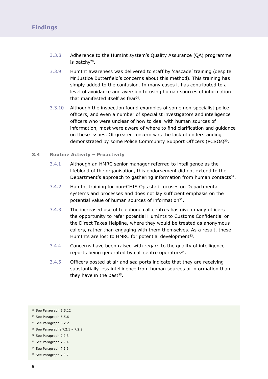- 3.3.8 Adherence to the HumInt system's Quality Assurance (QA) programme is patchy28.
- 3.3.9 HumInt awareness was delivered to staff by 'cascade' training (despite Mr Justice Butterfield's concerns about this method). This training has simply added to the confusion. In many cases it has contributed to a level of avoidance and aversion to using human sources of information that manifested itself as fear<sup>29</sup>.
- 3.3.10 Although the inspection found examples of some non-specialist police officers, and even a number of specialist investigators and intelligence officers who were unclear of how to deal with human sources of information, most were aware of where to find clarification and guidance on these issues. Of greater concern was the lack of understanding demonstrated by some Police Community Support Officers (PCSOs)30.

#### **3.4 Routine Activity – Proactivity**

- 3.4.1 Although an HMRC senior manager referred to intelligence as the lifeblood of the organisation, this endorsement did not extend to the Department's approach to gathering information from human contacts<sup>31</sup>.
- 3.4.2 HumInt training for non-CHIS Ops staff focuses on Departmental systems and processes and does not lay sufficient emphasis on the potential value of human sources of information<sup>32</sup>.
- 3.4.3 The increased use of telephone call centres has given many officers the opportunity to refer potential HumInts to Customs Confidential or the Direct Taxes Helpline, where they would be treated as anonymous callers, rather than engaging with them themselves. As a result, these HumInts are lost to HMRC for potential development<sup>33</sup>.
- 3.4.4 Concerns have been raised with regard to the quality of intelligence reports being generated by call centre operators<sup>34</sup>.
- 3.4.5 Officers posted at air and sea ports indicate that they are receiving substantially less intelligence from human sources of information than they have in the past $35$ .

<sup>35</sup> See Paragraph 7.2.7

<sup>28</sup> See Paragraph 5.5.12

<sup>29</sup> See Paragraph 5.5.6

<sup>30</sup> See Paragraph 5.2.2

 $31$  See Paragraphs 7.2.1 - 7.2.2

<sup>32</sup> See Paragraph 7.2.3

<sup>&</sup>lt;sup>33</sup> See Paragraph 7.2.4

<sup>&</sup>lt;sup>34</sup> See Paragraph 7.2.6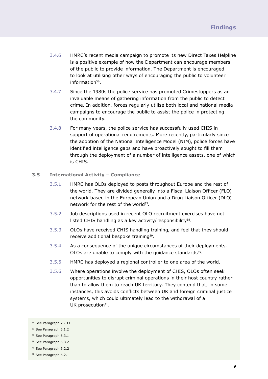- 3.4.6 HMRC's recent media campaign to promote its new Direct Taxes Helpline is a positive example of how the Department can encourage members of the public to provide information. The Department is encouraged to look at utilising other ways of encouraging the public to volunteer information36.
- 3.4.7 Since the 1980s the police service has promoted Crimestoppers as an invaluable means of gathering information from the public to detect crime. In addition, forces regularly utilise both local and national media campaigns to encourage the public to assist the police in protecting the community.
- 3.4.8 For many years, the police service has successfully used CHIS in support of operational requirements. More recently, particularly since the adoption of the National Intelligence Model (NIM), police forces have identified intelligence gaps and have proactively sought to fill them through the deployment of a number of intelligence assets, one of which is CHIS.

#### **3.5 International Activity – Compliance**

- 3.5.1 HMRC has OLOs deployed to posts throughout Europe and the rest of the world. They are divided generally into a Fiscal Liaison Officer (FLO) network based in the European Union and a Drug Liaison Officer (DLO) network for the rest of the world<sup>37</sup>.
- 3.5.2 Job descriptions used in recent OLO recruitment exercises have not listed CHIS handling as a key activity/responsibility<sup>38</sup>.
- 3.5.3 OLOs have received CHIS handling training, and feel that they should receive additional bespoke training<sup>39</sup>.
- 3.5.4 As a consequence of the unique circumstances of their deployments, OLOs are unable to comply with the guidance standards<sup>40</sup>.
- 3.5.5 HMRC has deployed a regional controller to one area of the world.
- 3.5.6 Where operations involve the deployment of CHIS, OLOs often seek opportunities to disrupt criminal operations in their host country rather than to allow them to reach UK territory. They contend that, in some instances, this avoids conflicts between UK and foreign criminal justice systems, which could ultimately lead to the withdrawal of a UK prosecution<sup>41</sup>.

<sup>&</sup>lt;sup>36</sup> See Paragraph 7.2.11

<sup>&</sup>lt;sup>37</sup> See Paragraph 6.1.2

<sup>38</sup> See Paragraph 6.3.1

<sup>39</sup> See Paragraph 6.3.2

<sup>40</sup> See Paragraph 6.2.2

<sup>41</sup> See Paragraph 6.2.1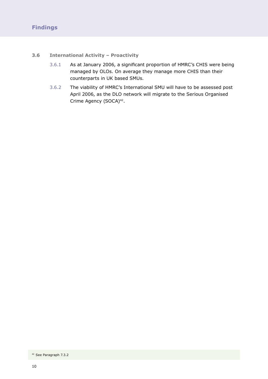#### **3.6 International Activity – Proactivity**

- 3.6.1 As at January 2006, a significant proportion of HMRC's CHIS were being managed by OLOs. On average they manage more CHIS than their counterparts in UK based SMUs.
- 3.6.2 The viability of HMRC's International SMU will have to be assessed post April 2006, as the DLO network will migrate to the Serious Organised Crime Agency (SOCA)<sup>42</sup>.

<sup>42</sup> See Paragraph 7.3.2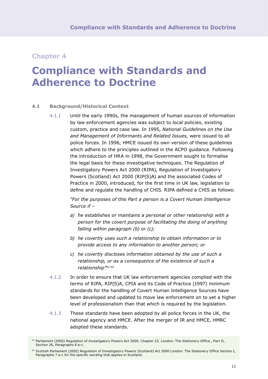## **Compliance with Standards and Adherence to Doctrine**

#### **4.1 Background/Historical Context**

4.1.1 Until the early 1990s, the management of human sources of information by law enforcement agencies was subject to local policies, existing custom, practice and case law. In 1995, *National Guidelines on the Use and Management of Informants and Related Issues,* were issued to all police forces. In 1996, HMCE issued its own version of these guidelines which adhere to the principles outlined in the ACPO guidance. Following the introduction of HRA in 1998, the Government sought to formalise the legal basis for these investigative techniques. The Regulation of Investigatory Powers Act 2000 (RIPA), Regulation of Investigatory Powers (Scotland) Act 2000 (RIP(S)A) and the associated Codes of Practice in 2000, introduced, for the first time in UK law, legislation to define and regulate the handling of CHIS. RIPA defined a CHIS as follows:

> *"For the purposes of this Part a person is a Covert Human Intelligence Source if –*

- *a) he establishes or maintains a personal or other relationship with a person for the covert purpose of facilitating the doing of anything falling within paragraph (b) or (c);*
- *b) he covertly uses such a relationship to obtain information or to provide access to any information to another person; or*
- *c) he covertly discloses information obtained by the use of such a relationship, or as a consequence of the existence of such a relationship"*43 44
- 4.1.2 In order to ensure that UK law enforcement agencies complied with the terms of RIPA, RIP(S)A, CPIA and its Code of Practice (1997) minimum standards for the handling of Covert Human Intelligence Sources have been developed and updated to move law enforcement on to yet a higher level of professionalism than that which is required by the legislation.
- 4.1.3 These standards have been adopted by all police forces in the UK, the national agency and HMCE. After the merger of IR and HMCE, HMRC adopted these standards.

<sup>43</sup> Parliament (2002) Regulation of Investigatory Powers Act 2000. Chapter 23. London: The Stationery Office., Part II, Section 26, Paragraphs 8 a-c.

<sup>44</sup> Scottish Parliament (2002) Regulation of Investigatory Powers (Scotland) Act 2000 London: The Stationery Office Section I, Paragraphs 7 a-c for the specific wording that applies in Scotland.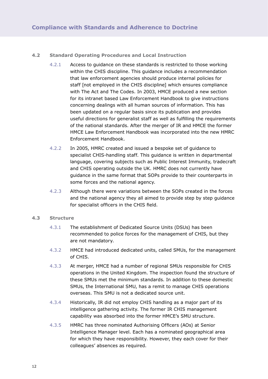#### **4.2 Standard Operating Procedures and Local Instruction**

- 4.2.1 Access to guidance on these standards is restricted to those working within the CHIS discipline. This guidance includes a recommendation that law enforcement agencies should produce internal policies for staff [not employed in the CHIS discipline] which ensures compliance with The Act and The Codes. In 2003, HMCE produced a new section for its intranet based Law Enforcement Handbook to give instructions concerning dealings with all human sources of information. This has been updated on a regular basis since its publication and provides useful directions for generalist staff as well as fulfilling the requirements of the national standards. After the merger of IR and HMCE the former HMCE Law Enforcement Handbook was incorporated into the new HMRC Enforcement Handbook.
- 4.2.2 In 2005, HMRC created and issued a bespoke set of guidance to specialist CHIS-handling staff. This guidance is written in departmental language, covering subjects such as Public Interest Immunity, tradecraft and CHIS operating outside the UK. HMRC does not currently have guidance in the same format that SOPs provide to their counterparts in some forces and the national agency.
- 4.2.3 Although there were variations between the SOPs created in the forces and the national agency they all aimed to provide step by step guidance for specialist officers in the CHIS field.

#### **4.3 Structure**

- 4.3.1 The establishment of Dedicated Source Units (DSUs) has been recommended to police forces for the management of CHIS, but they are not mandatory.
- 4.3.2 HMCE had introduced dedicated units, called SMUs, for the management of CHIS.
- 4.3.3 At merger, HMCE had a number of regional SMUs responsible for CHIS operations in the United Kingdom. The inspection found the structure of these SMUs met the minimum standards. In addition to these domestic SMUs, the International SMU, has a remit to manage CHIS operations overseas. This SMU is not a dedicated source unit.
- 4.3.4 Historically, IR did not employ CHIS handling as a major part of its intelligence gathering activity. The former IR CHIS management capability was absorbed into the former HMCE's SMU structure.
- 4.3.5 HMRC has three nominated Authorising Officers (AOs) at Senior Intelligence Manager level. Each has a nominated geographical area for which they have responsibility. However, they each cover for their colleagues' absences as required.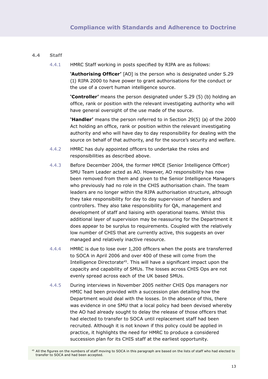#### **4.4 Staff**

4.4.1 HMRC Staff working in posts specified by RIPA are as follows:

**'Authorising Officer'** [AO] is the person who is designated under S.29 (1) RIPA 2000 to have power to grant authorisations for the conduct or the use of a covert human intelligence source.

**'Controller'** means the person designated under S.29 (5) (b) holding an office, rank or position with the relevant investigating authority who will have general oversight of the use made of the source.

**'Handler'** means the person referred to in Section 29(5) (a) of the 2000 Act holding an office, rank or position within the relevant investigating authority and who will have day to day responsibility for dealing with the source on behalf of that authority, and for the source's security and welfare.

- 4.4.2 HMRC has duly appointed officers to undertake the roles and responsibilities as described above.
- 4.4.3 Before December 2004, the former HMCE (Senior Intelligence Officer) SMU Team Leader acted as AO. However, AO responsibility has now been removed from them and given to the Senior Intelligence Managers who previously had no role in the CHIS authorisation chain. The team leaders are no longer within the RIPA authorisation structure, although they take responsibility for day to day supervision of handlers and controllers. They also take responsibility for QA, management and development of staff and liaising with operational teams. Whilst this additional layer of supervision may be reassuring for the Department it does appear to be surplus to requirements. Coupled with the relatively low number of CHIS that are currently active, this suggests an over managed and relatively inactive resource.
- 4.4.4 HMRC is due to lose over 1,200 officers when the posts are transferred to SOCA in April 2006 and over 400 of these will come from the Intelligence Directorate<sup>45</sup>. This will have a significant impact upon the capacity and capability of SMUs. The losses across CHIS Ops are not evenly spread across each of the UK based SMUs.
- 4.4.5 During interviews in November 2005 neither CHIS Ops managers nor HMIC had been provided with a succession plan detailing how the Department would deal with the losses. In the absence of this, there was evidence in one SMU that a local policy had been devised whereby the AO had already sought to delay the release of those officers that had elected to transfer to SOCA until replacement staff had been recruited. Although it is not known if this policy could be applied in practice, it highlights the need for HMRC to produce a considered succession plan for its CHIS staff at the earliest opportunity.

<sup>45</sup> All the figures on the numbers of staff moving to SOCA in this paragraph are based on the lists of staff who had elected to transfer to SOCA and had been accepted.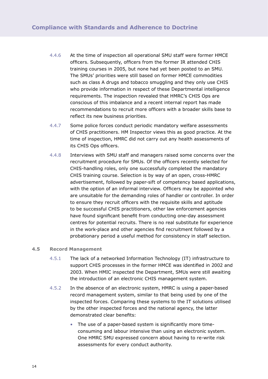- 4.4.6 At the time of inspection all operational SMU staff were former HMCE officers. Subsequently, officers from the former IR attended CHIS training courses in 2005, but none had yet been posted to an SMU. The SMUs' priorities were still based on former HMCE commodities such as class A drugs and tobacco smuggling and they only use CHIS who provide information in respect of these Departmental intelligence requirements. The inspection revealed that HMRC's CHIS Ops are conscious of this imbalance and a recent internal report has made recommendations to recruit more officers with a broader skills base to reflect its new business priorities.
- 4.4.7 Some police forces conduct periodic mandatory welfare assessments of CHIS practitioners. HM Inspector views this as good practice. At the time of inspection, HMRC did not carry out any health assessments of its CHIS Ops officers.
- 4.4.8 Interviews with SMU staff and managers raised some concerns over the recruitment procedure for SMUs. Of the officers recently selected for CHIS-handling roles, only one successfully completed the mandatory CHIS training course. Selection is by way of an open, cross-HMRC advertisement, followed by paper-sift of competency based applications, with the option of an informal interview. Officers may be appointed who are unsuitable for the demanding roles of handler or controller. In order to ensure they recruit officers with the requisite skills and aptitude to be successful CHIS practitioners, other law enforcement agencies have found significant benefit from conducting one-day assessment centres for potential recruits. There is no real substitute for experience in the work-place and other agencies find recruitment followed by a probationary period a useful method for consistency in staff selection.

#### **4.5 Record Management**

- 4.5.1 The lack of a networked Information Technology (IT) infrastructure to support CHIS processes in the former HMCE was identified in 2002 and 2003. When HMIC inspected the Department, SMUs were still awaiting the introduction of an electronic CHIS management system.
- 4.5.2 In the absence of an electronic system, HMRC is using a paper-based record management system, similar to that being used by one of the inspected forces. Comparing these systems to the IT solutions utilised by the other inspected forces and the national agency, the latter demonstrated clear benefits:
	- The use of a paper-based system is significantly more timeconsuming and labour intensive than using an electronic system. One HMRC SMU expressed concern about having to re-write risk assessments for every conduct authority.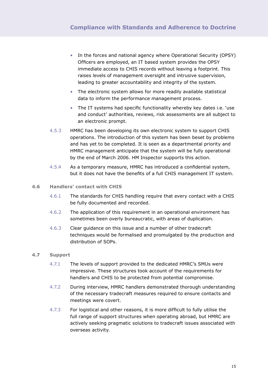- In the forces and national agency where Operational Security (OPSY) Officers are employed, an IT based system provides the OPSY immediate access to CHIS records without leaving a footprint. This raises levels of management oversight and intrusive supervision, leading to greater accountability and integrity of the system.
- The electronic system allows for more readily available statistical data to inform the performance management process.
- The IT systems had specific functionality whereby key dates i.e. 'use and conduct' authorities, reviews, risk assessments are all subject to an electronic prompt.
- 4.5.3 HMRC has been developing its own electronic system to support CHIS operations. The introduction of this system has been beset by problems and has yet to be completed. It is seen as a departmental priority and HMRC management anticipate that the system will be fully operational by the end of March 2006. HM Inspector supports this action.
- 4.5.4 As a temporary measure, HMRC has introduced a confidential system, but it does not have the benefits of a full CHIS management IT system.
- **4.6 Handlers' contact with CHIS**
	- 4.6.1 The standards for CHIS handling require that every contact with a CHIS be fully documented and recorded.
	- 4.6.2 The application of this requirement in an operational environment has sometimes been overly bureaucratic, with areas of duplication.
	- 4.6.3 Clear guidance on this issue and a number of other tradecraft techniques would be formalised and promulgated by the production and distribution of SOPs.

#### **4.7 Support**

- 4.7.1 The levels of support provided to the dedicated HMRC's SMUs were impressive. These structures took account of the requirements for handlers and CHIS to be protected from potential compromise.
- 4.7.2 During interview, HMRC handlers demonstrated thorough understanding of the necessary tradecraft measures required to ensure contacts and meetings were covert.
- 4.7.3 For logistical and other reasons, it is more difficult to fully utilise the full range of support structures when operating abroad, but HMRC are actively seeking pragmatic solutions to tradecraft issues associated with overseas activity.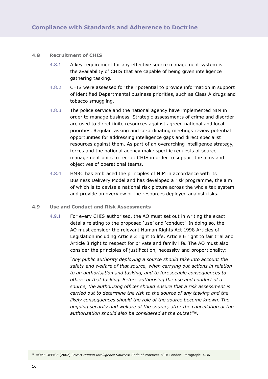#### **4.8 Recruitment of CHIS**

- 4.8.1 A key requirement for any effective source management system is the availability of CHIS that are capable of being given intelligence gathering tasking.
- 4.8.2 CHIS were assessed for their potential to provide information in support of identified Departmental business priorities, such as Class A drugs and tobacco smuggling.
- 4.8.3 The police service and the national agency have implemented NIM in order to manage business. Strategic assessments of crime and disorder are used to direct finite resources against agreed national and local priorities. Regular tasking and co-ordinating meetings review potential opportunities for addressing intelligence gaps and direct specialist resources against them. As part of an overarching intelligence strategy, forces and the national agency make specific requests of source management units to recruit CHIS in order to support the aims and objectives of operational teams.
- 4.8.4 HMRC has embraced the principles of NIM in accordance with its Business Delivery Model and has developed a risk programme, the aim of which is to devise a national risk picture across the whole tax system and provide an overview of the resources deployed against risks.

#### **4.9 Use and Conduct and Risk Assessments**

4.9.1 For every CHIS authorised, the AO must set out in writing the exact details relating to the proposed 'use' and 'conduct'. In doing so, the AO must consider the relevant Human Rights Act 1998 Articles of Legislation including Article 2 right to life, Article 6 right to fair trial and Article 8 right to respect for private and family life. The AO must also consider the principles of justification, necessity and proportionality:

> *"Any public authority deploying a source should take into account the safety and welfare of that source, when carrying out actions in relation to an authorisation and tasking, and to foreseeable consequences to others of that tasking. Before authorising the use and conduct of a source, the authorising officer should ensure that a risk assessment is carried out to determine the risk to the source of any tasking and the likely consequences should the role of the source become known. The ongoing security and welfare of the source, after the cancellation of the authorisation should also be considered at the outset"*46*.*

<sup>46</sup> HOME OFFICE (2002) *Covert Human Intelligence Sources: Code of* Practice: *TSO:* London: Paragraph: 4.36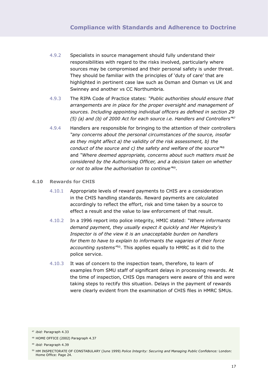- 4.9.2 Specialists in source management should fully understand their responsibilities with regard to the risks involved, particularly where sources may be compromised and their personal safety is under threat. They should be familiar with the principles of 'duty of care' that are highlighted in pertinent case law such as Osman and Osman vs UK and Swinney and another vs CC Northumbria.
- 4.9.3 The RIPA Code of Practice states: *"Public authorities should ensure that arrangements are in place for the proper oversight and management of sources. Including appointing individual officers as defined in section 29 (5) (a) and (b) of 2000 Act for each source i.e. Handlers and Controllers"*<sup>47</sup>
- 4.9.4 Handlers are responsible for bringing to the attention of their controllers *"any concerns about the personal circumstances of the source, insofar as they might affect a) the validity of the risk assessment, b) the conduct of the source and c) the safety and welfare of the source"*<sup>48</sup> and *"Where deemed appropriate, concerns about such matters must be considered by the Authorising Officer, and a decision taken on whether or not to allow the authorisation to continue"*49.

#### **4.10 Rewards for CHIS**

- 4.10.1 Appropriate levels of reward payments to CHIS are a consideration in the CHIS handling standards. Reward payments are calculated accordingly to reflect the effort, risk and time taken by a source to effect a result and the value to law enforcement of that result.
- 4.10.2 In a 1996 report into police integrity, HMIC stated: *"Where informants demand payment, they usually expect it quickly and Her Majesty's Inspector is of the view it is an unacceptable burden on handlers for them to have to explain to informants the vagaries of their force accounting systems"*50. This applies equally to HMRC as it did to the police service.
- 4.10.3 It was of concern to the inspection team, therefore, to learn of examples from SMU staff of significant delays in processing rewards. At the time of inspection, CHIS Ops managers were aware of this and were taking steps to rectify this situation. Delays in the payment of rewards were clearly evident from the examination of CHIS files in HMRC SMUs.

<sup>47</sup> *ibid:* Paragraph 4.33

<sup>48</sup> HOME OFFICE (2002) Paragraph 4.37

<sup>49</sup> *ibid:* Paragraph 4.39

<sup>50</sup> HM INSPECTORATE OF CONSTABULARY (June 1999) *Police Integrity: Securing and Managing Public Confidence:* London: Home Office: Page 24.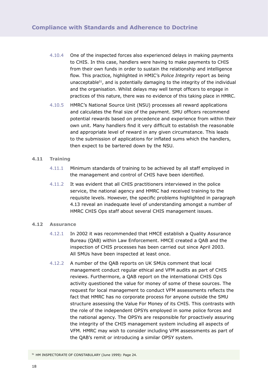- 4.10.4 One of the inspected forces also experienced delays in making payments to CHIS. In this case, handlers were having to make payments to CHIS from their own funds in order to sustain the relationship and intelligence flow. This practice, highlighted in HMIC's *Police Integrity* report as being unacceptable<sup>51</sup>, and is potentially damaging to the integrity of the individual and the organisation. Whilst delays may well tempt officers to engage in practices of this nature, there was no evidence of this taking place in HMRC.
- 4.10.5 HMRC's National Source Unit (NSU) processes all reward applications and calculates the final size of the payment. SMU officers recommend potential rewards based on precedence and experience from within their own unit. Many handlers find it very difficult to establish the reasonable and appropriate level of reward in any given circumstance. This leads to the submission of applications for inflated sums which the handlers, then expect to be bartered down by the NSU.

#### **4.11 Training**

- 4.11.1 Minimum standards of training to be achieved by all staff employed in the management and control of CHIS have been identified.
- 4.11.2 It was evident that all CHIS practitioners interviewed in the police service, the national agency and HMRC had received training to the requisite levels. However, the specific problems highlighted in paragraph 4.13 reveal an inadequate level of understanding amongst a number of HMRC CHIS Ops staff about several CHIS management issues.

#### **4.12 Assurance**

- 4.12.1 In 2002 it was recommended that HMCE establish a Quality Assurance Bureau (QAB) within Law Enforcement. HMCE created a QAB and the inspection of CHIS processes has been carried out since April 2003. All SMUs have been inspected at least once.
- 4.12.2 A number of the QAB reports on UK SMUs comment that local management conduct regular ethical and VFM audits as part of CHIS reviews. Furthermore, a QAB report on the international CHIS Ops activity questioned the value for money of some of these sources. The request for local management to conduct VFM assessments reflects the fact that HMRC has no corporate process for anyone outside the SMU structure assessing the Value For Money of its CHIS. This contrasts with the role of the independent OPSYs employed in some police forces and the national agency. The OPSYs are responsible for proactively assuring the integrity of the CHIS management system including all aspects of VFM. HMRC may wish to consider including VFM assessments as part of the QAB's remit or introducing a similar OPSY system.

<sup>51</sup> HM INSPECTORATE OF CONSTABULARY (June 1999): Page 24.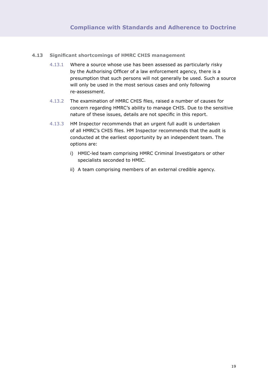#### **4.13 Significant shortcomings of HMRC CHIS management**

- 4.13.1 Where a source whose use has been assessed as particularly risky by the Authorising Officer of a law enforcement agency, there is a presumption that such persons will not generally be used. Such a source will only be used in the most serious cases and only following re-assessment.
- 4.13.2 The examination of HMRC CHIS files, raised a number of causes for concern regarding HMRC's ability to manage CHIS. Due to the sensitive nature of these issues, details are not specific in this report.
- 4.13.3 HM Inspector recommends that an urgent full audit is undertaken of all HMRC's CHIS files. HM Inspector recommends that the audit is conducted at the earliest opportunity by an independent team. The options are:
	- i) HMIC-led team comprising HMRC Criminal Investigators or other specialists seconded to HMIC.
	- ii) A team comprising members of an external credible agency.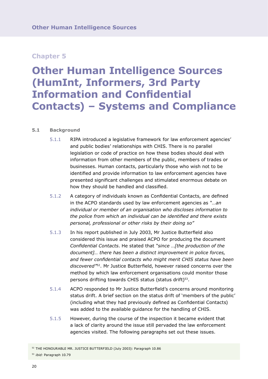## **Other Human Intelligence Sources (HumInt, Informers, 3rd Party Information and Confidential Contacts) – Systems and Compliance**

#### **5.1 Background**

- 5.1.1 RIPA introduced a legislative framework for law enforcement agencies' and public bodies' relationships with CHIS. There is no parallel legislation or code of practice on how these bodies should deal with information from other members of the public, members of trades or businesses. Human contacts, particularly those who wish not to be identified and provide information to law enforcement agencies have presented significant challenges and stimulated enormous debate on how they should be handled and classified.
- 5.1.2 A category of individuals known as Confidential Contacts, are defined in the ACPO standards used by law enforcement agencies as *"…an individual or member of an organisation who discloses information to the police from which an individual can be identified and there exists personal, professional or other risks by their doing so"*
- 5.1.3 In his report published in July 2003, Mr Justice Butterfield also considered this issue and praised ACPO for producing the document *Confidential Contacts*. He stated that *"since …[the production of the document]… there has been a distinct improvement in police forces, and fewer confidential contacts who might merit CHIS status have been discovered"*52. Mr Justice Butterfield, however raised concerns over the method by which law enforcement organisations could monitor those persons drifting towards CHIS status (status drift)<sup>53</sup>.
- 5.1.4 ACPO responded to Mr Justice Butterfield's concerns around monitoring status drift. A brief section on the status drift of 'members of the public' (including what they had previously defined as Confidential Contacts) was added to the available guidance for the handling of CHIS.
- 5.1.5 However, during the course of the inspection it became evident that a lack of clarity around the issue still pervaded the law enforcement agencies visited. The following paragraphs set out these issues.

<sup>52</sup> THE HONOURABLE MR. JUSTICE BUTTERFIELD (July 2003): Paragraph 10.86 <sup>53</sup> *ibid:* Paragraph 10.79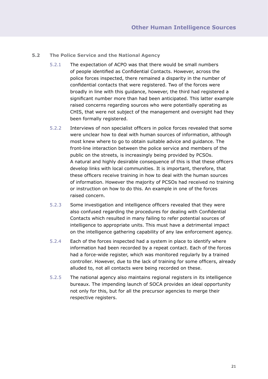- **5.2 The Police Service and the National Agency**
	- 5.2.1 The expectation of ACPO was that there would be small numbers of people identified as Confidential Contacts. However, across the police forces inspected, there remained a disparity in the number of confidential contacts that were registered. Two of the forces were broadly in line with this guidance, however, the third had registered a significant number more than had been anticipated. This latter example raised concerns regarding sources who were potentially operating as CHIS, that were not subject of the management and oversight had they been formally registered.
	- 5.2.2 Interviews of non specialist officers in police forces revealed that some were unclear how to deal with human sources of information, although most knew where to go to obtain suitable advice and guidance. The front-line interaction between the police service and members of the public on the streets, is increasingly being provided by PCSOs. A natural and highly desirable consequence of this is that these officers develop links with local communities. It is important, therefore, that these officers receive training in how to deal with the human sources of information. However the majority of PCSOs had received no training or instruction on how to do this. An example in one of the forces raised concern.
	- 5.2.3 Some investigation and intelligence officers revealed that they were also confused regarding the procedures for dealing with Confidential Contacts which resulted in many failing to refer potential sources of intelligence to appropriate units. This must have a detrimental impact on the intelligence gathering capability of any law enforcement agency.
	- 5.2.4 Each of the forces inspected had a system in place to identify where information had been recorded by a repeat contact. Each of the forces had a force-wide register, which was monitored regularly by a trained controller. However, due to the lack of training for some officers, already alluded to, not all contacts were being recorded on these.
	- 5.2.5 The national agency also maintains regional registers in its intelligence bureaux. The impending launch of SOCA provides an ideal opportunity not only for this, but for all the precursor agencies to merge their respective registers.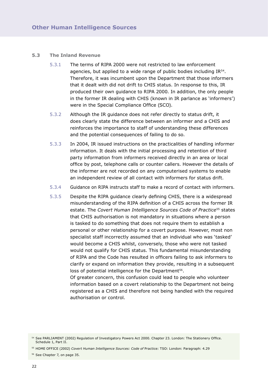#### **5.3 The Inland Revenue**

- 5.3.1 The terms of RIPA 2000 were not restricted to law enforcement agencies, but applied to a wide range of public bodies including  $IR<sup>54</sup>$ . Therefore, it was incumbent upon the Department that those informers that it dealt with did not drift to CHIS status. In response to this, IR produced their own guidance to RIPA 2000. In addition, the only people in the former IR dealing with CHIS (known in IR parlance as 'informers') were in the Special Compliance Office (SCO).
- 5.3.2 Although the IR guidance does not refer directly to status drift, it does clearly state the difference between an informer and a CHIS and reinforces the importance to staff of understanding these differences and the potential consequences of failing to do so.
- 5.3.3 In 2004, IR issued instructions on the practicalities of handling informer information. It deals with the initial processing and retention of third party information from informers received directly in an area or local office by post, telephone calls or counter callers. However the details of the informer are not recorded on any computerised systems to enable an independent review of all contact with informers for status drift.
- 5.3.4 Guidance on RIPA instructs staff to make a record of contact with informers.
- 5.3.5 Despite the RIPA guidance clearly defining CHIS, there is a widespread misunderstanding of the RIPA definition of a CHIS across the former IR estate. The *Covert Human Intelligence Sources Code of Practice*55 states that CHIS authorisation is not mandatory in situations where a person is tasked to do something that does not require them to establish a personal or other relationship for a covert purpose. However, most non specialist staff incorrectly assumed that an individual who was 'tasked' would become a CHIS whilst, conversely, those who were not tasked would not qualify for CHIS status. This fundamental misunderstanding of RIPA and the Code has resulted in officers failing to ask informers to clarify or expand on information they provide, resulting in a subsequent loss of potential intelligence for the Department<sup>56</sup>.

Of greater concern, this confusion could lead to people who volunteer information based on a covert relationship to the Department not being registered as a CHIS and therefore not being handled with the required authorisation or control.

<sup>56</sup> See Chapter 7, on page 35.

<sup>54</sup> See PARLIAMENT (2002) Regulation of Investigatory Powers Act 2000. Chapter 23. London: The Stationery Office. Schedule 1, Part II.

<sup>55</sup> HOME OFFICE (2002) *Covert Human Intelligence Sources: Code of* Practice: TSO: London: Paragraph: 4.29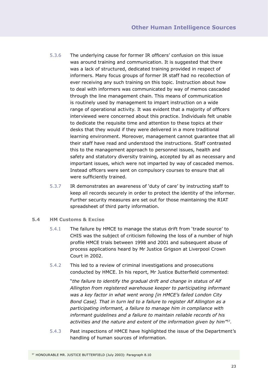- 5.3.6 The underlying cause for former IR officers' confusion on this issue was around training and communication. It is suggested that there was a lack of structured, dedicated training provided in respect of informers. Many focus groups of former IR staff had no recollection of ever receiving any such training on this topic. Instruction about how to deal with informers was communicated by way of memos cascaded through the line management chain. This means of communication is routinely used by management to impart instruction on a wide range of operational activity. It was evident that a majority of officers interviewed were concerned about this practice. Individuals felt unable to dedicate the requisite time and attention to these topics at their desks that they would if they were delivered in a more traditional learning environment. Moreover, management cannot guarantee that all their staff have read and understood the instructions. Staff contrasted this to the management approach to personnel issues, health and safety and statutory diversity training, accepted by all as necessary and important issues, which were not imparted by way of cascaded memos. Instead officers were sent on compulsory courses to ensure that all were sufficiently trained.
- 5.3.7 IR demonstrates an awareness of 'duty of care' by instructing staff to keep all records securely in order to protect the identity of the informer. Further security measures are set out for those maintaining the RIAT spreadsheet of third party information.
- **5.4 HM Customs & Excise**
	- 5.4.1 The failure by HMCE to manage the status drift from 'trade source' to CHIS was the subject of criticism following the loss of a number of high profile HMCE trials between 1998 and 2001 and subsequent abuse of process applications heard by Mr Justice Grigson at Liverpool Crown Court in 2002.
	- 5.4.2 This led to a review of criminal investigations and prosecutions conducted by HMCE. In his report, Mr Justice Butterfield commented:

"*the failure to identify the gradual drift and change in status of Alf Allington from registered warehouse keeper to participating informant was a key factor in what went wrong [in HMCE's failed London City Bond Case]. That in turn led to a failure to register Alf Allington as a participating informant, a failure to manage him in compliance with informant guidelines and a failure to maintain reliable records of his activities and the nature and extent of the information given by him"*57.

5.4.3 Past inspections of HMCE have highlighted the issue of the Department's handling of human sources of information.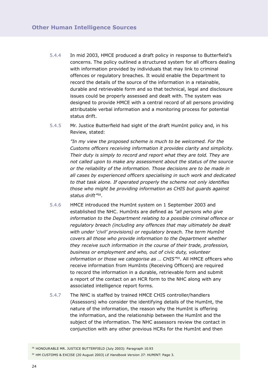- 5.4.4 In mid 2003, HMCE produced a draft policy in response to Butterfield's concerns. The policy outlined a structured system for all officers dealing with information provided by individuals that may link to criminal offences or regulatory breaches. It would enable the Department to record the details of the source of the information in a retainable, durable and retrievable form and so that technical, legal and disclosure issues could be properly assessed and dealt with. The system was designed to provide HMCE with a central record of all persons providing attributable verbal information and a monitoring process for potential status drift.
- 5.4.5 Mr. Justice Butterfield had sight of the draft HumInt policy and, in his Review, stated:

*"In my view the proposed scheme is much to be welcomed. For the Customs officers receiving information it provides clarity and simplicity. Their duty is simply to record and report what they are told. They are not called upon to make any assessment about the status of the source or the reliability of the information. Those decisions are to be made in all cases by experienced officers specialising in such work and dedicated to that task alone. If operated properly the scheme not only identifies those who might be providing information as CHIS but guards against status drift"*58*.*

- 5.4.6 HMCE introduced the HumInt system on 1 September 2003 and established the NHC. HumInts are defined as *"all persons who give information to the Department relating to a possible criminal offence or regulatory breach (including any offences that may ultimately be dealt with under 'civil' provisions) or regulatory breach. The term HumInt covers all those who provide information to the Department whether they receive such information in the course of their trade, profession, business or employment and who, out of civic duty, volunteer information or those we categorise as … CHIS"*59. All HMCE officers who receive information from HumInts (Receiving Officers) are required to record the information in a durable, retrievable form and submit a report of the contact on an HCR form to the NHC along with any associated intelligence report forms.
- 5.4.7 The NHC is staffed by trained HMCE CHIS controller/handlers (Assessors) who consider the identifying details of the HumInt, the nature of the information, the reason why the HumInt is offering the information, and the relationship between the HumInt and the subject of the information. The NHC assessors review the contact in conjunction with any other previous HCRs for the HumInt and then

<sup>59</sup> HM CUSTOMS & EXCISE (20 August 2003) *LE Handbook Version 37: HUMINT:* Page 3.

<sup>58</sup> HONOURABLE MR. JUSTICE BUTTERFIELD (July 2003): Paragraph 10.93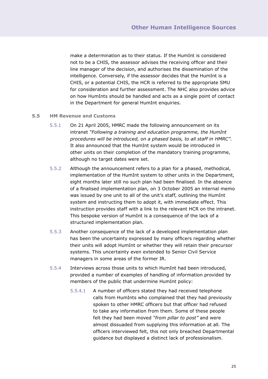make a determination as to their status. If the HumInt is considered not to be a CHIS, the assessor advises the receiving officer and their line manager of the decision, and authorises the dissemination of the intelligence. Conversely, if the assessor decides that the HumInt is a CHIS, or a potential CHIS, the HCR is referred to the appropriate SMU for consideration and further assessment. The NHC also provides advice on how HumInts should be handled and acts as a single point of contact in the Department for general HumInt enquiries.

#### **5.5 HM Revenue and Customs**

- 5.5.1 On 21 April 2005, HMRC made the following announcement on its intranet *"Following a training and education programme, the HumInt procedures will be introduced, on a phased basis, to all staff in HMRC".* It also announced that the HumInt system would be introduced in other units on their completion of the mandatory training programme, although no target dates were set.
- 5.5.2 Although the announcement refers to a plan for a phased, methodical, implementation of the HumInt system to other units in the Department, eight months later still no such plan had been finalised. In the absence of a finalised implementation plan, on 3 October 2005 an internal memo was issued by one unit to all of the unit's staff, outlining the HumInt system and instructing them to adopt it, with immediate effect. This instruction provides staff with a link to the relevant HCR on the intranet. This bespoke version of HumInt is a consequence of the lack of a structured implementation plan.
- 5.5.3 Another consequence of the lack of a developed implementation plan has been the uncertainty expressed by many officers regarding whether their units will adopt HumInt or whether they will retain their precursor systems. This uncertainty even extended to Senior Civil Service managers in some areas of the former IR.
- 5.5.4 Interviews across those units to which HumInt had been introduced, provided a number of examples of handling of information provided by members of the public that undermine HumInt policy:
	- 5.5.4.1 A number of officers stated they had received telephone calls from HumInts who complained that they had previously spoken to other HMRC officers but that officer had refused to take any information from them. Some of these people felt they had been moved *"from pillar to post"* and were almost dissuaded from supplying this information at all. The officers interviewed felt, this not only breached Departmental guidance but displayed a distinct lack of professionalism.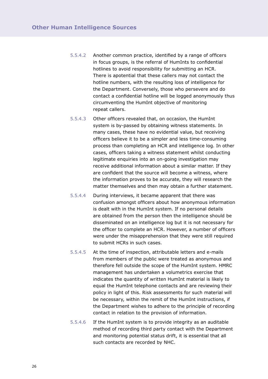- 5.5.4.2 Another common practice, identified by a range of officers in focus groups, is the referral of HumInts to confidential hotlines to avoid responsibility for submitting an HCR. There is apotential that these callers may not contact the hotline numbers, with the resulting loss of intelligence for the Department. Conversely, those who persevere and do contact a confidential hotline will be logged anonymously thus circumventing the HumInt objective of monitoring repeat callers.
- 5.5.4.3 Other officers revealed that, on occasion, the HumInt system is by-passed by obtaining witness statements. In many cases, these have no evidential value, but receiving officers believe it to be a simpler and less time-consuming process than completing an HCR and intelligence log. In other cases, officers taking a witness statement whilst conducting legitimate enquiries into an on-going investigation may receive additional information about a similar matter. If they are confident that the source will become a witness, where the information proves to be accurate, they will research the matter themselves and then may obtain a further statement.
- 5.5.4.4 During interviews, it became apparent that there was confusion amongst officers about how anonymous information is dealt with in the HumInt system. If no personal details are obtained from the person then the intelligence should be disseminated on an intelligence log but it is not necessary for the officer to complete an HCR. However, a number of officers were under the misapprehension that they were still required to submit HCRs in such cases.
- 5.5.4.5 At the time of inspection, attributable letters and e-mails from members of the public were treated as anonymous and therefore fell outside the scope of the HumInt system. HMRC management has undertaken a volumetrics exercise that indicates the quantity of written HumInt material is likely to equal the HumInt telephone contacts and are reviewing their policy in light of this. Risk assessments for such material will be necessary, within the remit of the HumInt instructions, if the Department wishes to adhere to the principle of recording contact in relation to the provision of information.
- 5.5.4.6 If the HumInt system is to provide integrity as an auditable method of recording third party contact with the Department and monitoring potential status drift, it is essential that all such contacts are recorded by NHC.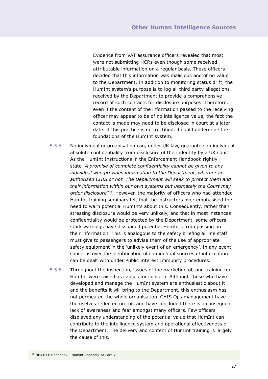Evidence from VAT assurance officers revealed that most were not submitting HCRs even though some received attributable information on a regular basis. These officers decided that this information was malicious and of no value to the Department. In addition to monitoring status drift, the HumInt system's purpose is to log all third party allegations received by the Department to provide a comprehensive record of such contacts for disclosure purposes. Therefore, even if the content of the information passed to the receiving officer may appear to be of no intelligence value, the fact the contact is made may need to be disclosed in court at a later date. If this practice is not rectified, it could undermine the foundations of the HumInt system.

- 5.5.5 No individual or organisation can, under UK law, guarantee an individual absolute confidentiality from disclosure of their identity by a UK court. As the HumInt Instructions in the Enforcement Handbook rightly state *"A promise of complete confidentiality cannot be given to any individual who provides information to the Department, whether an authorised CHIS or not. The Department will seek to protect them and their information within our own systems but ultimately the Court may order disclosure"*60. However, the majority of officers who had attended HumInt training seminars felt that the instructors over-emphasised the need to warn potential HumInts about this. Consequently, rather than stressing disclosure would be very unlikely, and that in most instances confidentiality would be protected by the Department, some officers' stark warnings have dissuaded potential HumInts from passing on their information. This is analogous to the safety briefing airline staff must give to passengers to advise them of the use of appropriate safety equipment in the 'unlikely event of an emergency'. In any event, concerns over the identification of confidential sources of information can be dealt with under Public Interest Immunity procedures.
- 5.5.6 Throughout the inspection, issues of the marketing of, and training for, HumInt were raised as causes for concern. Although those who have developed and manage the HumInt system are enthusiastic about it and the benefits it will bring to the Department, this enthusiasm has not permeated the whole organisation. CHIS Ops management have themselves reflected on this and have concluded there is a consequent lack of awareness and fear amongst many officers. Few officers displayed any understanding of the potential value that HumInt can contribute to the intelligence system and operational effectiveness of the Department. The delivery and content of HumInt training is largely the cause of this.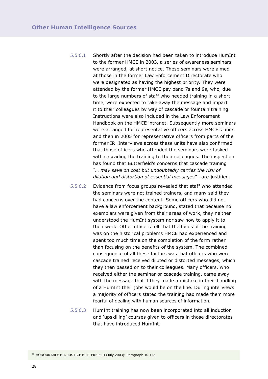5.5.6.1 Shortly after the decision had been taken to introduce HumInt to the former HMCE in 2003, a series of awareness seminars were arranged, at short notice. These seminars were aimed at those in the former Law Enforcement Directorate who were designated as having the highest priority. They were attended by the former HMCE pay band 7s and 9s, who, due to the large numbers of staff who needed training in a short time, were expected to take away the message and impart it to their colleagues by way of cascade or fountain training. Instructions were also included in the Law Enforcement Handbook on the HMCE intranet. Subsequently more seminars were arranged for representative officers across HMCE's units and then in 2005 for representative officers from parts of the former IR. Interviews across these units have also confirmed that those officers who attended the seminars were tasked with cascading the training to their colleagues. The inspection has found that Butterfield's concerns that cascade training *"… may save on cost but undoubtedly carries the risk of dilution and distortion of essential messages"*61 are justified.

5.5.6.2 Evidence from focus groups revealed that staff who attended the seminars were not trained trainers, and many said they had concerns over the content. Some officers who did not have a law enforcement background, stated that because no exemplars were given from their areas of work, they neither understood the HumInt system nor saw how to apply it to their work. Other officers felt that the focus of the training was on the historical problems HMCE had experienced and spent too much time on the completion of the form rather than focusing on the benefits of the system. The combined consequence of all these factors was that officers who were cascade trained received diluted or distorted messages, which they then passed on to their colleagues. Many officers, who received either the seminar or cascade training, came away with the message that if they made a mistake in their handling of a HumInt their jobs would be on the line. During interviews a majority of officers stated the training had made them more fearful of dealing with human sources of information.

5.5.6.3 HumInt training has now been incorporated into all induction and 'upskilling' courses given to officers in those directorates that have introduced HumInt.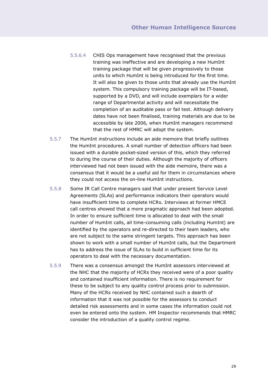- 5.5.6.4 CHIS Ops management have recognised that the previous training was ineffective and are developing a new HumInt training package that will be given progressively to those units to which HumInt is being introduced for the first time. It will also be given to those units that already use the HumInt system. This compulsory training package will be IT-based, supported by a DVD, and will include exemplars for a wider range of Departmental activity and will necessitate the completion of an auditable pass or fail test. Although delivery dates have not been finalised, training materials are due to be accessible by late 2006, when HumInt managers recommend that the rest of HMRC will adopt the system.
- 5.5.7 The HumInt instructions include an aide memoire that briefly outlines the HumInt procedures. A small number of detection officers had been issued with a durable pocket-sized version of this, which they referred to during the course of their duties. Although the majority of officers interviewed had not been issued with the aide memoire, there was a consensus that it would be a useful aid for them in circumstances where they could not access the on-line HumInt instructions.
- 5.5.8 Some IR Call Centre managers said that under present Service Level Agreements (SLAs) and performance indicators their operators would have insufficient time to complete HCRs. Interviews at former HMCE call centres showed that a more pragmatic approach had been adopted. In order to ensure sufficient time is allocated to deal with the small number of HumInt calls, all time-consuming calls (including HumInt) are identified by the operators and re-directed to their team leaders, who are not subject to the same stringent targets. This approach has been shown to work with a small number of HumInt calls, but the Department has to address the issue of SLAs to build in sufficient time for its operators to deal with the necessary documentation.
- 5.5.9 There was a consensus amongst the HumInt assessors interviewed at the NHC that the majority of HCRs they received were of a poor quality and contained insufficient information. There is no requirement for these to be subject to any quality control process prior to submission. Many of the HCRs received by NHC contained such a dearth of information that it was not possible for the assessors to conduct detailed risk assessments and in some cases the information could not even be entered onto the system. HM Inspector recommends that HMRC consider the introduction of a quality control regime.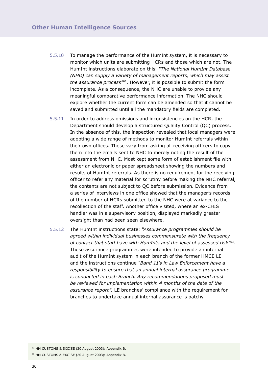- 5.5.10 To manage the performance of the HumInt system, it is necessary to monitor which units are submitting HCRs and those which are not. The HumInt instructions elaborate on this: *"The National HumInt Database (NHD) can supply a variety of management reports, which may assist the assurance process"*62. However, it is possible to submit the form incomplete. As a consequence, the NHC are unable to provide any meaningful comparative performance information. The NHC should explore whether the current form can be amended so that it cannot be saved and submitted until all the mandatory fields are completed.
- 5.5.11 In order to address omissions and inconsistencies on the HCR, the Department should develop a structured Quality Control (QC) process. In the absence of this, the inspection revealed that local managers were adopting a wide range of methods to monitor HumInt referrals within their own offices. These vary from asking all receiving officers to copy them into the emails sent to NHC to merely noting the result of the assessment from NHC. Most kept some form of establishment file with either an electronic or paper spreadsheet showing the numbers and results of HumInt referrals. As there is no requirement for the receiving officer to refer any material for scrutiny before making the NHC referral, the contents are not subject to QC before submission. Evidence from a series of interviews in one office showed that the manager's records of the number of HCRs submitted to the NHC were at variance to the recollection of the staff. Another office visited, where an ex-CHIS handler was in a supervisory position, displayed markedly greater oversight than had been seen elsewhere.
- 5.5.12 The HumInt instructions state: *"Assurance programmes should be agreed within individual businesses commensurate with the frequency of contact that staff have with HumInts and the level of assessed risk"*63. These assurance programmes were intended to provide an internal audit of the HumInt system in each branch of the former HMCE LE and the instructions continue *"Band 11's in Law Enforcement have a responsibility to ensure that an annual internal assurance programme is conducted in each Branch. Any recommendations proposed must be reviewed for implementation within 4 months of the date of the assurance report".* LE branches' compliance with the requirement for branches to undertake annual internal assurance is patchy.

<sup>62</sup> HM CUSTOMS & EXCISE (20 August 2003): Appendix B.

<sup>63</sup> HM CUSTOMS & EXCISE (20 August 2003): Appendix B.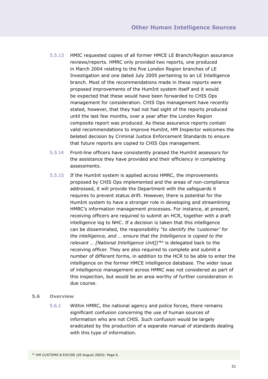- 5.5.13 HMIC requested copies of all former HMCE LE Branch/Region assurance reviews/reports. HMRC only provided two reports, one produced in March 2004 relating to the five London Region branches of LE Investigation and one dated July 2005 pertaining to an LE Intelligence branch. Most of the recommendations made in these reports were proposed improvements of the HumInt system itself and it would be expected that these would have been forwarded to CHIS Ops management for consideration. CHIS Ops management have recently stated, however, that they had not had sight of the reports produced until the last few months, over a year after the London Region composite report was produced. As these assurance reports contain valid recommendations to improve HumInt, HM Inspector welcomes the belated decision by Criminal Justice Enforcement Standards to ensure that future reports are copied to CHIS Ops management.
- 5.5.14 Front-line officers have consistently praised the HumInt assessors for the assistance they have provided and their efficiency in completing assessments.
- 5.5.15 If the HumInt system is applied across HMRC, the improvements proposed by CHIS Ops implemented and the areas of non-compliance addressed, it will provide the Department with the safeguards it requires to prevent status drift. However, there is potential for the HumInt system to have a stronger role in developing and streamlining HMRC's information management processes. For instance, at present, receiving officers are required to submit an HCR, together with a draft intelligence log to NHC. If a decision is taken that this intelligence can be disseminated, the responsibility *"to identify the 'customer' for the intelligence, and … ensure that the Intelligence is copied to the relevant … [National Intelligence Unit])"*64 is delegated back to the receiving officer. They are also required to complete and submit a number of different forms, in addition to the HCR to be able to enter the intelligence on the former HMCE intelligence database. The wider issue of intelligence management across HMRC was not considered as part of this inspection, but would be an area worthy of further consideration in due course.

#### **5.6 Overview**

5.6.1 Within HMRC, the national agency and police forces, there remains significant confusion concerning the use of human sources of information who are not CHIS. Such confusion would be largely eradicated by the production of a separate manual of standards dealing with this type of information.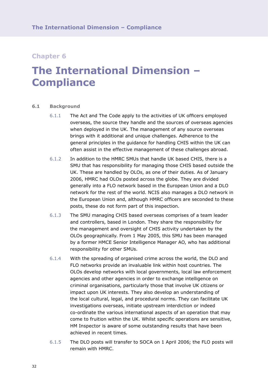## **The International Dimension – Compliance**

#### **6.1 Background**

- 6.1.1 The Act and The Code apply to the activities of UK officers employed overseas, the source they handle and the sources of overseas agencies when deployed in the UK. The management of any source overseas brings with it additional and unique challenges. Adherence to the general principles in the guidance for handling CHIS within the UK can often assist in the effective management of these challenges abroad.
- 6.1.2 In addition to the HMRC SMUs that handle UK based CHIS, there is a SMU that has responsibility for managing those CHIS based outside the UK. These are handled by OLOs, as one of their duties. As of January 2006, HMRC had OLOs posted across the globe. They are divided generally into a FLO network based in the European Union and a DLO network for the rest of the world. NCIS also manages a DLO network in the European Union and, although HMRC officers are seconded to these posts, these do not form part of this inspection.
- 6.1.3 The SMU managing CHIS based overseas comprises of a team leader and controllers, based in London. They share the responsibility for the management and oversight of CHIS activity undertaken by the OLOs geographically. From 1 May 2005, this SMU has been managed by a former HMCE Senior Intelligence Manager AO, who has additional responsibility for other SMUs.
- 6.1.4 With the spreading of organised crime across the world, the DLO and FLO networks provide an invaluable link within host countries. The OLOs develop networks with local governments, local law enforcement agencies and other agencies in order to exchange intelligence on criminal organisations, particularly those that involve UK citizens or impact upon UK interests. They also develop an understanding of the local cultural, legal, and procedural norms. They can facilitate UK investigations overseas, initiate upstream interdiction or indeed co-ordinate the various international aspects of an operation that may come to fruition within the UK. Whilst specific operations are sensitive, HM Inspector is aware of some outstanding results that have been achieved in recent times.
- 6.1.5 The DLO posts will transfer to SOCA on 1 April 2006; the FLO posts will remain with HMRC.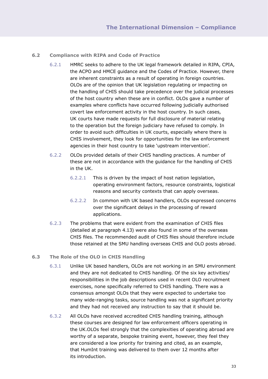#### **6.2 Compliance with RIPA and Code of Practice**

- 6.2.1 HMRC seeks to adhere to the UK legal framework detailed in RIPA, CPIA, the ACPO and HMCE guidance and the Codes of Practice. However, there are inherent constraints as a result of operating in foreign countries. OLOs are of the opinion that UK legislation regulating or impacting on the handling of CHIS should take precedence over the judicial processes of the host country when these are in conflict. OLOs gave a number of examples where conflicts have occurred following judicially authorised covert law enforcement activity in the host country. In such cases, UK courts have made requests for full disclosure of material relating to the operation but the foreign judiciary have refused to comply. In order to avoid such difficulties in UK courts, especially where there is CHIS involvement, they look for opportunities for the law enforcement agencies in their host country to take 'upstream intervention'.
- 6.2.2 OLOs provided details of their CHIS handling practices. A number of these are not in accordance with the guidance for the handling of CHIS in the UK.
	- 6.2.2.1 This is driven by the impact of host nation legislation, operating environment factors, resource constraints, logistical reasons and security contexts that can apply overseas.
	- 6.2.2.2 In common with UK based handlers, OLOs expressed concerns over the significant delays in the processing of reward applications.
- 6.2.3 The problems that were evident from the examination of CHIS files (detailed at paragraph 4.13) were also found in some of the overseas CHIS files. The recommended audit of CHIS files should therefore include those retained at the SMU handling overseas CHIS and OLO posts abroad.

#### **6.3 The Role of the OLO in CHIS Handling**

- 6.3.1 Unlike UK based handlers, OLOs are not working in an SMU environment and they are not dedicated to CHIS handling. Of the six key activities/ responsibilities in the job descriptions used in recent OLO recruitment exercises, none specifically referred to CHIS handling. There was a consensus amongst OLOs that they were expected to undertake too many wide-ranging tasks, source handling was not a significant priority and they had not received any instruction to say that it should be.
- 6.3.2 All OLOs have received accredited CHIS handling training, although these courses are designed for law enforcement officers operating in the UK.OLOs feel strongly that the complexities of operating abroad are worthy of a separate, bespoke training event, however, they feel they are considered a low priority for training and cited, as an example, that HumInt training was delivered to them over 12 months after its introduction.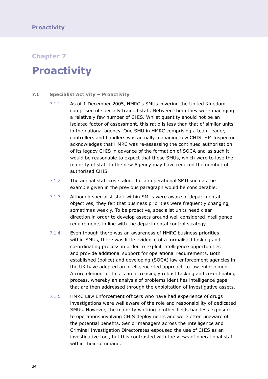### **Proactivity**

#### **7.1 Specialist Activity – Proactivity**

- 7.1.1 As of 1 December 2005, HMRC's SMUs covering the United Kingdom comprised of specially trained staff. Between them they were managing a relatively few number of CHIS. Whilst quantity should not be an isolated factor of assessment, this ratio is less than that of similar units in the national agency. One SMU in HMRC comprising a team leader, controllers and handlers was actually managing few CHIS. HM Inspector acknowledges that HMRC was re-assessing the continued authorisation of its legacy CHIS in advance of the formation of SOCA and as such it would be reasonable to expect that those SMUs, which were to lose the majority of staff to the new Agency may have reduced the number of authorised CHIS.
- 7.1.2 The annual staff costs alone for an operational SMU such as the example given in the previous paragraph would be considerable.
- 7.1.3 Although specialist staff within SMUs were aware of departmental objectives, they felt that business priorities were frequently changing, sometimes weekly. To be proactive, specialist units need clear direction in order to develop assets around well considered intelligence requirements in line with the departmental control strategy.
- 7.1.4 Even though there was an awareness of HMRC business priorities within SMUs, there was little evidence of a formalised tasking and co-ordinating process in order to exploit intelligence opportunities and provide additional support for operational requirements. Both established (police) and developing (SOCA) law enforcement agencies in the UK have adopted an intelligence-led approach to law enforcement. A core element of this is an increasingly robust tasking and co-ordinating process, whereby an analysis of problems identifies intelligence gaps that are then addressed through the exploitation of investigative assets.
- 7.1.5 HMRC Law Enforcement officers who have had experience of drugs investigations were well aware of the role and responsibility of dedicated SMUs. However, the majority working in other fields had less exposure to operations involving CHIS deployments and were often unaware of the potential benefits. Senior managers across the Intelligence and Criminal Investigation Directorates espoused the use of CHIS as an investigative tool, but this contrasted with the views of operational staff within their command.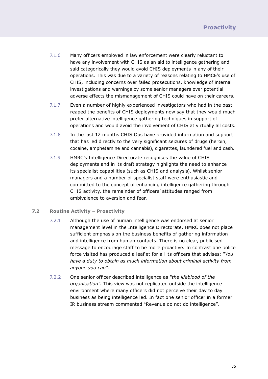- 7.1.6 Many officers employed in law enforcement were clearly reluctant to have any involvement with CHIS as an aid to intelligence gathering and said categorically they would avoid CHIS deployments in any of their operations. This was due to a variety of reasons relating to HMCE's use of CHIS, including concerns over failed prosecutions, knowledge of internal investigations and warnings by some senior managers over potential adverse effects the mismanagement of CHIS could have on their careers.
- 7.1.7 Even a number of highly experienced investigators who had in the past reaped the benefits of CHIS deployments now say that they would much prefer alternative intelligence gathering techniques in support of operations and would avoid the involvement of CHIS at virtually all costs.
- 7.1.8 In the last 12 months CHIS Ops have provided information and support that has led directly to the very significant seizures of drugs (heroin, cocaine, amphetamine and cannabis), cigarettes, laundered fuel and cash.
- 7.1.9 HMRC's Intelligence Directorate recognises the value of CHIS deployments and in its draft strategy highlights the need to enhance its specialist capabilities (such as CHIS and analysis). Whilst senior managers and a number of specialist staff were enthusiastic and committed to the concept of enhancing intelligence gathering through CHIS activity, the remainder of officers' attitudes ranged from ambivalence to aversion and fear.

#### **7.2 Routine Activity – Proactivity**

- 7.2.1 Although the use of human intelligence was endorsed at senior management level in the Intelligence Directorate, HMRC does not place sufficient emphasis on the business benefits of gathering information and intelligence from human contacts. There is no clear, publicised message to encourage staff to be more proactive. In contrast one police force visited has produced a leaflet for all its officers that advises: *"You have a duty to obtain as much information about criminal activity from anyone you can".*
- 7.2.2 One senior officer described intelligence as *"the lifeblood of the organisation".* This view was not replicated outside the intelligence environment where many officers did not perceive their day to day business as being intelligence led. In fact one senior officer in a former IR business stream commented "Revenue do not do intelligence".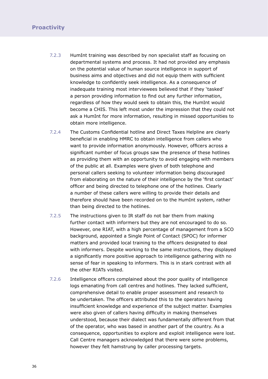### **Proactivity**

- 7.2.3 HumInt training was described by non specialist staff as focusing on departmental systems and process. It had not provided any emphasis on the potential value of human source intelligence in support of business aims and objectives and did not equip them with sufficient knowledge to confidently seek intelligence. As a consequence of inadequate training most interviewees believed that if they 'tasked' a person providing information to find out any further information, regardless of how they would seek to obtain this, the HumInt would become a CHIS. This left most under the impression that they could not ask a HumInt for more information, resulting in missed opportunities to obtain more intelligence.
- 7.2.4 The Customs Confidential hotline and Direct Taxes Helpline are clearly beneficial in enabling HMRC to obtain intelligence from callers who want to provide information anonymously. However, officers across a significant number of focus groups saw the presence of these hotlines as providing them with an opportunity to avoid engaging with members of the public at all. Examples were given of both telephone and personal callers seeking to volunteer information being discouraged from elaborating on the nature of their intelligence by the 'first contact' officer and being directed to telephone one of the hotlines. Clearly a number of these callers were willing to provide their details and therefore should have been recorded on to the HumInt system, rather than being directed to the hotlines.
- 7.2.5 The instructions given to IR staff do not bar them from making further contact with informers but they are not encouraged to do so. However, one RIAT, with a high percentage of management from a SCO background, appointed a Single Point of Contact (SPOC) for informer matters and provided local training to the officers designated to deal with informers. Despite working to the same instructions, they displayed a significantly more positive approach to intelligence gathering with no sense of fear in speaking to informers. This is in stark contrast with all the other RIATs visited.
- 7.2.6 Intelligence officers complained about the poor quality of intelligence logs emanating from call centres and hotlines. They lacked sufficient, comprehensive detail to enable proper assessment and research to be undertaken. The officers attributed this to the operators having insufficient knowledge and experience of the subject matter. Examples were also given of callers having difficulty in making themselves understood, because their dialect was fundamentally different from that of the operator, who was based in another part of the country. As a consequence, opportunities to explore and exploit intelligence were lost. Call Centre managers acknowledged that there were some problems, however they felt hamstrung by caller processing targets.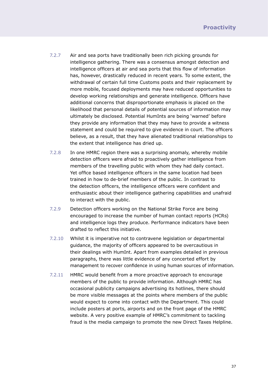- 7.2.7 Air and sea ports have traditionally been rich picking grounds for intelligence gathering. There was a consensus amongst detection and intelligence officers at air and sea ports that this flow of information has, however, drastically reduced in recent years. To some extent, the withdrawal of certain full time Customs posts and their replacement by more mobile, focused deployments may have reduced opportunities to develop working relationships and generate intelligence. Officers have additional concerns that disproportionate emphasis is placed on the likelihood that personal details of potential sources of information may ultimately be disclosed. Potential HumInts are being 'warned' before they provide any information that they may have to provide a witness statement and could be required to give evidence in court. The officers believe, as a result, that they have alienated traditional relationships to the extent that intelligence has dried up.
- 7.2.8 In one HMRC region there was a surprising anomaly, whereby mobile detection officers were afraid to proactively gather intelligence from members of the travelling public with whom they had daily contact. Yet office based intelligence officers in the same location had been trained in how to de-brief members of the public. In contrast to the detection officers, the intelligence officers were confident and enthusiastic about their intelligence gathering capabilities and unafraid to interact with the public.
- 7.2.9 Detection officers working on the National Strike Force are being encouraged to increase the number of human contact reports (HCRs) and intelligence logs they produce. Performance indicators have been drafted to reflect this initiative.
- 7.2.10 Whilst it is imperative not to contravene legislation or departmental guidance, the majority of officers appeared to be overcautious in their dealings with HumInt. Apart from examples detailed in previous paragraphs, there was little evidence of any concerted effort by management to recover confidence in using human sources of information.
- 7.2.11 HMRC would benefit from a more proactive approach to encourage members of the public to provide information. Although HMRC has occasional publicity campaigns advertising its hotlines, there should be more visible messages at the points where members of the public would expect to come into contact with the Department. This could include posters at ports, airports and on the front page of the HMRC website. A very positive example of HMRC's commitment to tackling fraud is the media campaign to promote the new Direct Taxes Helpline.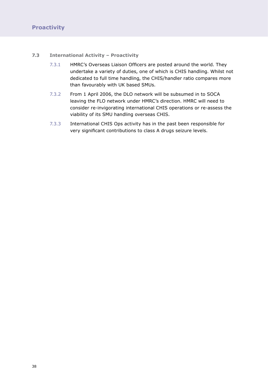#### **7.3 International Activity – Proactivity**

- 7.3.1 HMRC's Overseas Liaison Officers are posted around the world. They undertake a variety of duties, one of which is CHIS handling. Whilst not dedicated to full time handling, the CHIS/handler ratio compares more than favourably with UK based SMUs.
- 7.3.2 From 1 April 2006, the DLO network will be subsumed in to SOCA leaving the FLO network under HMRC's direction. HMRC will need to consider re-invigorating international CHIS operations or re-assess the viability of its SMU handling overseas CHIS.
- 7.3.3 International CHIS Ops activity has in the past been responsible for very significant contributions to class A drugs seizure levels.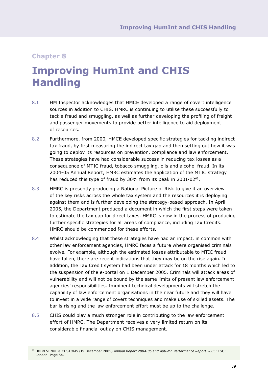## **Improving HumInt and CHIS Handling**

- 8.1 HM Inspector acknowledges that HMCE developed a range of covert intelligence sources in addition to CHIS. HMRC is continuing to utilise these successfully to tackle fraud and smuggling, as well as further developing the profiling of freight and passenger movements to provide better intelligence to aid deployment of resources.
- 8.2 Furthermore, from 2000, HMCE developed specific strategies for tackling indirect tax fraud, by first measuring the indirect tax gap and then setting out how it was going to deploy its resources on prevention, compliance and law enforcement. These strategies have had considerable success in reducing tax losses as a consequence of MTIC fraud, tobacco smuggling, oils and alcohol fraud. In its 2004-05 Annual Report, HMRC estimates the application of the MTIC strategy has reduced this type of fraud by 30% from its peak in 2001-02<sup>65</sup>.
- 8.3 HMRC is presently producing a National Picture of Risk to give it an overview of the key risks across the whole tax system and the resources it is deploying against them and is further developing the strategy-based approach. In April 2005, the Department produced a document in which the first steps were taken to estimate the tax gap for direct taxes. HMRC is now in the process of producing further specific strategies for all areas of compliance, including Tax Credits. HMRC should be commended for these efforts.
- 8.4 Whilst acknowledging that these strategies have had an impact, in common with other law enforcement agencies, HMRC faces a future where organised criminals evolve. For example, although the estimated losses attributable to MTIC fraud have fallen, there are recent indications that they may be on the rise again. In addition, the Tax Credit system had been under attack for 18 months which led to the suspension of the e-portal on 1 December 2005. Criminals will attack areas of vulnerability and will not be bound by the same limits of present law enforcement agencies' responsibilities. Imminent technical developments will stretch the capability of law enforcement organisations in the near future and they will have to invest in a wide range of covert techniques and make use of skilled assets. The bar is rising and the law enforcement effort must be up to the challenge.
- 8.5 CHIS could play a much stronger role in contributing to the law enforcement effort of HMRC. The Department receives a very limited return on its considerable financial outlay on CHIS management.

<sup>65</sup> HM REVENUE & CUSTOMS (19 December 2005) *Annual Report 2004-05 and Autumn Performance Report 2005:* TSO: London: Page 54.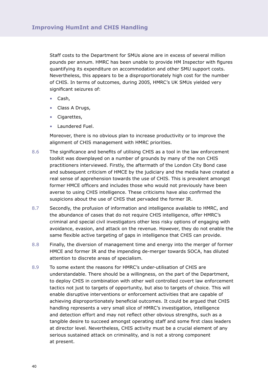Staff costs to the Department for SMUs alone are in excess of several million pounds per annum. HMRC has been unable to provide HM Inspector with figures quantifying its expenditure on accommodation and other SMU support costs. Nevertheless, this appears to be a disproportionately high cost for the number of CHIS. In terms of outcomes, during 2005, HMRC's UK SMUs yielded very significant seizures of:

- Cash,
- Class A Drugs,
- Cigarettes,
- Laundered Fuel.

Moreover, there is no obvious plan to increase productivity or to improve the alignment of CHIS management with HMRC priorities.

- 8.6 The significance and benefits of utilising CHIS as a tool in the law enforcement toolkit was downplayed on a number of grounds by many of the non CHIS practitioners interviewed. Firstly, the aftermath of the London City Bond case and subsequent criticism of HMCE by the judiciary and the media have created a real sense of apprehension towards the use of CHIS. This is prevalent amongst former HMCE officers and includes those who would not previously have been averse to using CHIS intelligence. These criticisms have also confirmed the suspicions about the use of CHIS that pervaded the former IR.
- 8.7 Secondly, the profusion of information and intelligence available to HMRC, and the abundance of cases that do not require CHIS intelligence, offer HMRC's criminal and special civil investigators other less risky options of engaging with avoidance, evasion, and attack on the revenue. However, they do not enable the same flexible active targeting of gaps in intelligence that CHIS can provide.
- 8.8 Finally, the diversion of management time and energy into the merger of former HMCE and former IR and the impending de-merger towards SOCA, has diluted attention to discrete areas of specialism.
- 8.9 To some extent the reasons for HMRC's under-utilisation of CHIS are understandable. There should be a willingness, on the part of the Department, to deploy CHIS in combination with other well controlled covert law enforcement tactics not just to targets of opportunity, but also to targets of choice. This will enable disruptive interventions or enforcement activities that are capable of achieving disproportionately beneficial outcomes. It could be argued that CHIS handling represents a very small slice of HMRC's investigation, intelligence and detection effort and may not reflect other obvious strengths, such as a tangible desire to succeed amongst operating staff and some first class leaders at director level. Nevertheless, CHIS activity must be a crucial element of any serious sustained attack on criminality, and is not a strong component at present.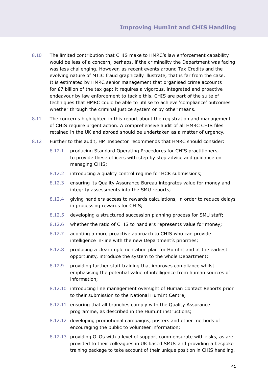- 8.10 The limited contribution that CHIS make to HMRC's law enforcement capability would be less of a concern, perhaps, if the criminality the Department was facing was less challenging. However, as recent events around Tax Credits and the evolving nature of MTIC fraud graphically illustrate, that is far from the case. It is estimated by HMRC senior management that organised crime accounts for £7 billion of the tax gap: it requires a vigorous, integrated and proactive endeavour by law enforcement to tackle this. CHIS are part of the suite of techniques that HMRC could be able to utilise to achieve 'compliance' outcomes whether through the criminal justice system or by other means.
- 8.11 The concerns highlighted in this report about the registration and management of CHIS require urgent action. A comprehensive audit of all HMRC CHIS files retained in the UK and abroad should be undertaken as a matter of urgency.
- 8.12 Further to this audit, HM Inspector recommends that HMRC should consider:
	- 8.12.1 producing Standard Operating Procedures for CHIS practitioners, to provide these officers with step by step advice and guidance on managing CHIS;
	- 8.12.2 introducing a quality control regime for HCR submissions;
	- 8.12.3 ensuring its Quality Assurance Bureau integrates value for money and integrity assessments into the SMU reports;
	- 8.12.4 giving handlers access to rewards calculations, in order to reduce delays in processing rewards for CHIS;
	- 8.12.5 developing a structured succession planning process for SMU staff;
	- 8.12.6 whether the ratio of CHIS to handlers represents value for money;
	- 8.12.7 adopting a more proactive approach to CHIS who can provide intelligence in-line with the new Department's priorities;
	- 8.12.8 producing a clear implementation plan for HumInt and at the earliest opportunity, introduce the system to the whole Department;
	- 8.12.9 providing further staff training that improves compliance whilst emphasising the potential value of intelligence from human sources of information;
	- 8.12.10 introducing line management oversight of Human Contact Reports prior to their submission to the National HumInt Centre;
	- 8.12.11 ensuring that all branches comply with the Quality Assurance programme, as described in the HumInt instructions;
	- 8.12.12 developing promotional campaigns, posters and other methods of encouraging the public to volunteer information;
	- 8.12.13 providing OLOs with a level of support commensurate with risks, as are provided to their colleagues in UK based SMUs and providing a bespoke training package to take account of their unique position in CHIS handling.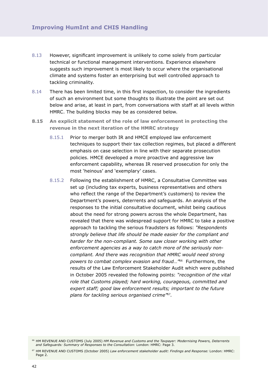- 8.13 However, significant improvement is unlikely to come solely from particular technical or functional management interventions. Experience elsewhere suggests such improvement is most likely to occur where the organisational climate and systems foster an enterprising but well controlled approach to tackling criminality.
- 8.14 There has been limited time, in this first inspection, to consider the ingredients of such an environment but some thoughts to illustrate the point are set out below and arise, at least in part, from conversations with staff at all levels within HMRC. The building blocks may be as considered below.
- **8.15 An explicit statement of the role of law enforcement in protecting the revenue in the next iteration of the HMRC strategy**
	- 8.15.1 Prior to merger both IR and HMCE employed law enforcement techniques to support their tax collection regimes, but placed a different emphasis on case selection in line with their separate prosecution policies. HMCE developed a more proactive and aggressive law enforcement capability, whereas IR reserved prosecution for only the most 'heinous' and 'exemplary' cases.
	- 8.15.2 Following the establishment of HMRC, a Consultative Committee was set up (including tax experts, business representatives and others who reflect the range of the Department's customers) to review the Department's powers, deterrents and safeguards. An analysis of the responses to the initial consultative document, whilst being cautious about the need for strong powers across the whole Department, has revealed that there was widespread support for HMRC to take a positive approach to tackling the serious fraudsters as follows: *"Respondents strongly believe that life should be made easier for the compliant and harder for the non-compliant. Some saw closer working with other enforcement agencies as a way to catch more of the seriously noncompliant. And there was recognition that HMRC would need strong powers to combat complex evasion and fraud…"*66 Furthermore, the results of the Law Enforcement Stakeholder Audit which were published in October 2005 revealed the following points: *"recognition of the vital role that Customs played; hard working, courageous, committed and expert staff; good law enforcement results; important to the future plans for tackling serious organised crime"*67.

<sup>66</sup> HM REVENUE AND CUSTOMS (July 2005) *HM Revenue and Customs and the Taxpayer: Modernising Powers, Deterrents and Safeguards: Summary of Responses to the Consultation:* London: HMRC: Page 3.

<sup>67</sup> HM REVENUE AND CUSTOMS (October 2005) *Law enforcement stakeholder audit: Findings and Response:* London: HMRC: Page 2.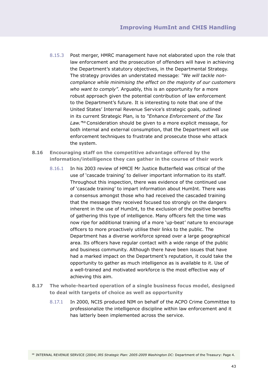- 8.15.3 Post merger, HMRC management have not elaborated upon the role that law enforcement and the prosecution of offenders will have in achieving the Department's statutory objectives, in the Departmental Strategy. The strategy provides an understated message: *"We will tackle noncompliance while minimising the effect on the majority of our customers who want to comply"*. Arguably, this is an opportunity for a more robust approach given the potential contribution of law enforcement to the Department's future. It is interesting to note that one of the United States' Internal Revenue Service's strategic goals, outlined in its current Strategic Plan, is to *"Enhance Enforcement of the Tax Law."*68 Consideration should be given to a more explicit message, for both internal and external consumption, that the Department will use enforcement techniques to frustrate and prosecute those who attack the system.
- **8.16 Encouraging staff on the competitive advantage offered by the information/intelligence they can gather in the course of their work**
	- 8.16.1 In his 2003 review of HMCE Mr Justice Butterfield was critical of the use of 'cascade training' to deliver important information to its staff. Throughout this inspection, there was evidence of the continued use of 'cascade training' to impart information about HumInt. There was a consensus amongst those who had received the cascaded training that the message they received focused too strongly on the dangers inherent in the use of HumInt, to the exclusion of the positive benefits of gathering this type of intelligence. Many officers felt the time was now ripe for additional training of a more 'up-beat' nature to encourage officers to more proactively utilise their links to the public. The Department has a diverse workforce spread over a large geographical area. Its officers have regular contact with a wide range of the public and business community. Although there have been issues that have had a marked impact on the Department's reputation, it could take the opportunity to gather as much intelligence as is available to it. Use of a well-trained and motivated workforce is the most effective way of achieving this aim.
- **8.17 The whole-hearted operation of a single business focus model, designed to deal with targets of choice as well as opportunity**
	- 8.17.1 In 2000, NCIS produced NIM on behalf of the ACPO Crime Committee to professionalize the intelligence discipline within law enforcement and it has latterly been implemented across the service.

<sup>68</sup> INTERNAL REVENUE SERVICE (2004) *IRS Strategic Plan: 2005-2009 Washington DC:* Department of the Treasury: Page 4.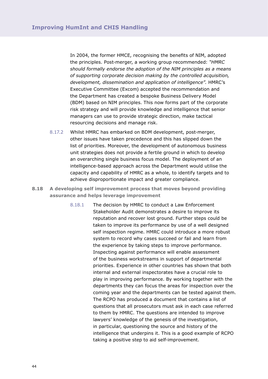In 2004, the former HMCE, recognising the benefits of NIM, adopted the principles. Post-merger, a working group recommended: *"HMRC should formally endorse the adoption of the NIM principles as a means of supporting corporate decision making by the controlled acquisition, development, dissemination and application of intelligence".* HMRC's Executive Committee (Excom) accepted the recommendation and the Department has created a bespoke Business Delivery Model (BDM) based on NIM principles. This now forms part of the corporate risk strategy and will provide knowledge and intelligence that senior managers can use to provide strategic direction, make tactical resourcing decisions and manage risk.

- 8.17.2 Whilst HMRC has embarked on BDM development, post-merger, other issues have taken precedence and this has slipped down the list of priorities. Moreover, the development of autonomous business unit strategies does not provide a fertile ground in which to develop an overarching single business focus model. The deployment of an intelligence-based approach across the Department would utilise the capacity and capability of HMRC as a whole, to identify targets and to achieve disproportionate impact and greater compliance.
- **8.18 A developing self improvement process that moves beyond providing assurance and helps leverage improvement**
	- 8.18.1 The decision by HMRC to conduct a Law Enforcement Stakeholder Audit demonstrates a desire to improve its reputation and recover lost ground. Further steps could be taken to improve its performance by use of a well designed self inspection regime. HMRC could introduce a more robust system to record why cases succeed or fail and learn from the experience by taking steps to improve performance. Inspecting against performance will enable assessment of the business workstreams in support of departmental priorities. Experience in other countries has shown that both internal and external inspectorates have a crucial role to play in improving performance. By working together with the departments they can focus the areas for inspection over the coming year and the departments can be tested against them. The RCPO has produced a document that contains a list of questions that all prosecutors must ask in each case referred to them by HMRC. The questions are intended to improve lawyers' knowledge of the genesis of the investigation, in particular, questioning the source and history of the intelligence that underpins it. This is a good example of RCPO taking a positive step to aid self-improvement.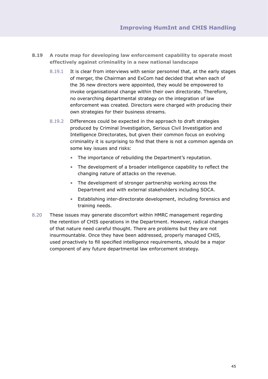- **8.19 A route map for developing law enforcement capability to operate most effectively against criminality in a new national landscape**
	- 8.19.1 It is clear from interviews with senior personnel that, at the early stages of merger, the Chairman and ExCom had decided that when each of the 36 new directors were appointed, they would be empowered to invoke organisational change within their own directorate. Therefore, no overarching departmental strategy on the integration of law enforcement was created. Directors were charged with producing their own strategies for their business streams.
	- 8.19.2 Differences could be expected in the approach to draft strategies produced by Criminal Investigation, Serious Civil Investigation and Intelligence Directorates, but given their common focus on evolving criminality it is surprising to find that there is not a common agenda on some key issues and risks:
		- The importance of rebuilding the Department's reputation.
		- The development of a broader intelligence capability to reflect the changing nature of attacks on the revenue.
		- The development of stronger partnership working across the Department and with external stakeholders including SOCA.
		- Establishing inter-directorate development, including forensics and training needs.
- 8.20 These issues may generate discomfort within HMRC management regarding the retention of CHIS operations in the Department. However, radical changes of that nature need careful thought. There are problems but they are not insurmountable. Once they have been addressed, properly managed CHIS, used proactively to fill specified intelligence requirements, should be a major component of any future departmental law enforcement strategy.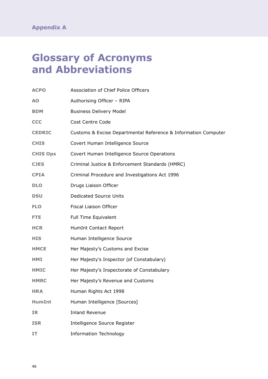## **Glossary of Acronyms and Abbreviations**

| <b>ACPO</b>     | Association of Chief Police Officers                           |
|-----------------|----------------------------------------------------------------|
|                 |                                                                |
| A <sub>O</sub>  | Authorising Officer - RIPA                                     |
| <b>BDM</b>      | <b>Business Delivery Model</b>                                 |
| <b>CCC</b>      | <b>Cost Centre Code</b>                                        |
| <b>CEDRIC</b>   | Customs & Excise Departmental Reference & Information Computer |
| <b>CHIS</b>     | Covert Human Intelligence Source                               |
| <b>CHIS Ops</b> | Covert Human Intelligence Source Operations                    |
| <b>CJES</b>     | Criminal Justice & Enforcement Standards (HMRC)                |
| <b>CPIA</b>     | Criminal Procedure and Investigations Act 1996                 |
| <b>DLO</b>      | Drugs Liaison Officer                                          |
| <b>DSU</b>      | <b>Dedicated Source Units</b>                                  |
| <b>FLO</b>      | Fiscal Liaison Officer                                         |
| FTE.            | Full Time Equivalent                                           |
| <b>HCR</b>      | HumInt Contact Report                                          |
| <b>HIS</b>      | Human Intelligence Source                                      |
| <b>HMCE</b>     | Her Majesty's Customs and Excise                               |
| HMI             | Her Majesty's Inspector (of Constabulary)                      |
| <b>HMIC</b>     | Her Majesty's Inspectorate of Constabulary                     |
| <b>HMRC</b>     | Her Majesty's Revenue and Customs                              |
| <b>HRA</b>      | Human Rights Act 1998                                          |
| <b>HumInt</b>   | Human Intelligence [Sources]                                   |
| <b>IR</b>       | <b>Inland Revenue</b>                                          |
| <b>ISR</b>      | Intelligence Source Register                                   |
| ΙT              | <b>Information Technology</b>                                  |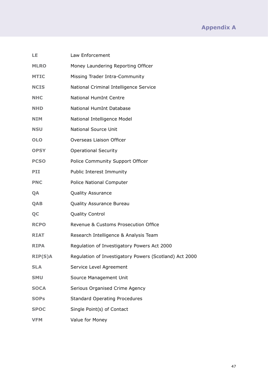| LE             | Law Enforcement                                        |
|----------------|--------------------------------------------------------|
| <b>MLRO</b>    | Money Laundering Reporting Officer                     |
| <b>MTIC</b>    | Missing Trader Intra-Community                         |
| <b>NCIS</b>    | National Criminal Intelligence Service                 |
| <b>NHC</b>     | <b>National HumInt Centre</b>                          |
| <b>NHD</b>     | National HumInt Database                               |
| <b>NIM</b>     | National Intelligence Model                            |
| <b>NSU</b>     | <b>National Source Unit</b>                            |
| <b>OLO</b>     | Overseas Liaison Officer                               |
| <b>OPSY</b>    | <b>Operational Security</b>                            |
| <b>PCSO</b>    | Police Community Support Officer                       |
| PII            | Public Interest Immunity                               |
| <b>PNC</b>     | Police National Computer                               |
| QA             | <b>Quality Assurance</b>                               |
| QAB            | Quality Assurance Bureau                               |
| QC             | <b>Quality Control</b>                                 |
| <b>RCPO</b>    | Revenue & Customs Prosecution Office                   |
| <b>RIAT</b>    | Research Intelligence & Analysis Team                  |
| <b>RIPA</b>    | Regulation of Investigatory Powers Act 2000            |
| <b>RIP(S)A</b> | Regulation of Investigatory Powers (Scotland) Act 2000 |
| <b>SLA</b>     | Service Level Agreement                                |
| <b>SMU</b>     | Source Management Unit                                 |
| <b>SOCA</b>    | Serious Organised Crime Agency                         |
| <b>SOPs</b>    | <b>Standard Operating Procedures</b>                   |
| <b>SPOC</b>    | Single Point(s) of Contact                             |
| <b>VFM</b>     | Value for Money                                        |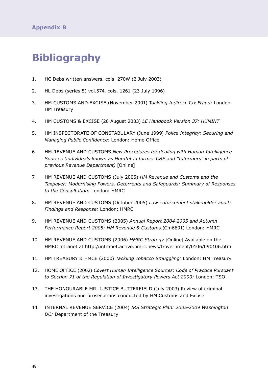## **Bibliography**

- 1. HC Debs written answers. cols. 270W (2 July 2003)
- 2. HL Debs (series 5) vol.574, cols. 1261 (23 July 1996)
- 3. HM CUSTOMS AND EXCISE (November 2001) T*ackling Indirect Tax Fraud:* London: HM Treasury
- 4. HM CUSTOMS & EXCISE (20 August 2003) *LE Handbook Version 37: HUMINT*
- 5. HM INSPECTORATE OF CONSTABULARY (June 1999) *Police Integrity: Securing and Managing Public Confidence:* London: Home Office
- 6. HM REVENUE AND CUSTOMS *New Procedures for dealing with Human Intelligence Sources (individuals known as HumInt in former C&E and "Informers" in parts of previous Revenue Department)* [Online]
- 7. HM REVENUE AND CUSTOMS (July 2005) *HM Revenue and Customs and the Taxpayer: Modernising Powers, Deterrents and Safeguards: Summary of Responses to the Consultation:* London: HMRC
- 8. HM REVENUE AND CUSTOMS (October 2005) *Law enforcement stakeholder audit: Findings and Response:* London: HMRC
- 9. HM REVENUE AND CUSTOMS (2005) *Annual Report 2004-2005 and Autumn Performance Report 2005: HM Revenue & Customs* (Cm6691) London: HMRC
- 10. HM REVENUE AND CUSTOMS (2006) *HMRC Strategy* [Online] Available on the HMRC intranet at http://intranet.active.hmrc.news/Government/0106/090106.htm
- 11. HM TREASURY & HMCE (2000) *Tackling Tobacco Smuggling:* London: HM Treasury
- 12. HOME OFFICE (2002) *Covert Human Intelligence Sources: Code of Practice Pursuant to Section 71 of the Regulation of Investigatory Powers Act 2000:* London: TSO
- 13. THE HONOURABLE MR. JUSTICE BUTTERFIELD (July 2003) Review of criminal investigations and prosecutions conducted by HM Customs and Excise
- 14. INTERNAL REVENUE SERVICE (2004) *IRS Strategic Plan: 2005-2009 Washington DC:* Department of the Treasury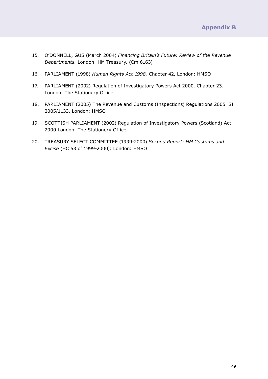- 15. O'DONNELL, GUS (March 2004) *Financing Britain's Future: Review of the Revenue Departments.* London: HM Treasury. (Cm 6163)
- 16. PARLIAMENT (1998) *Human Rights Act 1998.* Chapter 42, London: HMSO
- 17. PARLIAMENT (2002) Regulation of Investigatory Powers Act 2000. Chapter 23. London: The Stationery Office
- 18. PARLIAMENT (2005) The Revenue and Customs (Inspections) Regulations 2005. SI 2005/1133, London: HMSO
- 19. SCOTTISH PARLIAMENT (2002) Regulation of Investigatory Powers (Scotland) Act 2000 London: The Stationery Office
- 20. TREASURY SELECT COMMITTEE (1999-2000) *Second Report: HM Customs and Excise* (HC 53 of 1999-2000): London: HMSO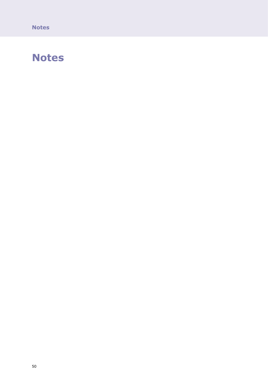**Notes**

### **Notes**